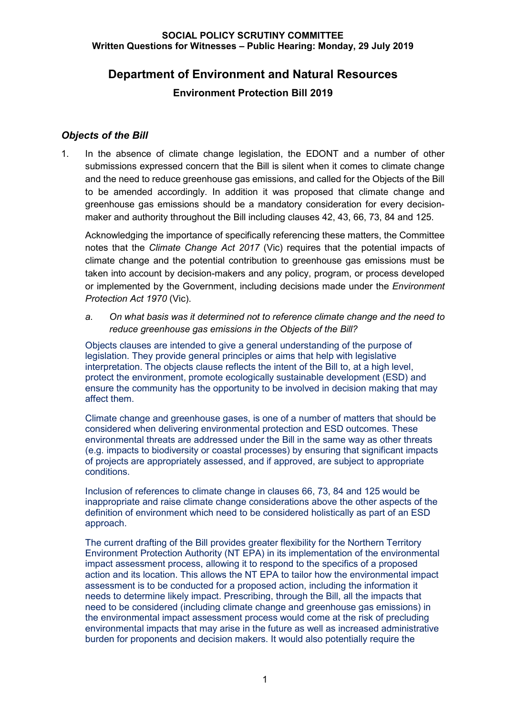# **Department of Environment and Natural Resources**

## **Environment Protection Bill 2019**

## *Objects of the Bill*

1. In the absence of climate change legislation, the EDONT and a number of other submissions expressed concern that the Bill is silent when it comes to climate change and the need to reduce greenhouse gas emissions, and called for the Objects of the Bill to be amended accordingly. In addition it was proposed that climate change and greenhouse gas emissions should be a mandatory consideration for every decisionmaker and authority throughout the Bill including clauses 42, 43, 66, 73, 84 and 125.

Acknowledging the importance of specifically referencing these matters, the Committee notes that the *Climate Change Act 2017* (Vic) requires that the potential impacts of climate change and the potential contribution to greenhouse gas emissions must be taken into account by decision-makers and any policy, program, or process developed or implemented by the Government, including decisions made under the *Environment Protection Act 1970* (Vic).

*a. On what basis was it determined not to reference climate change and the need to reduce greenhouse gas emissions in the Objects of the Bill?*

Objects clauses are intended to give a general understanding of the purpose of legislation. They provide general principles or aims that help with legislative interpretation. The objects clause reflects the intent of the Bill to, at a high level, protect the environment, promote ecologically sustainable development (ESD) and ensure the community has the opportunity to be involved in decision making that may affect them.

Climate change and greenhouse gases, is one of a number of matters that should be considered when delivering environmental protection and ESD outcomes. These environmental threats are addressed under the Bill in the same way as other threats (e.g. impacts to biodiversity or coastal processes) by ensuring that significant impacts of projects are appropriately assessed, and if approved, are subject to appropriate conditions.

Inclusion of references to climate change in clauses 66, 73, 84 and 125 would be inappropriate and raise climate change considerations above the other aspects of the definition of environment which need to be considered holistically as part of an ESD approach.

The current drafting of the Bill provides greater flexibility for the Northern Territory Environment Protection Authority (NT EPA) in its implementation of the environmental impact assessment process, allowing it to respond to the specifics of a proposed action and its location. This allows the NT EPA to tailor how the environmental impact assessment is to be conducted for a proposed action, including the information it needs to determine likely impact. Prescribing, through the Bill, all the impacts that need to be considered (including climate change and greenhouse gas emissions) in the environmental impact assessment process would come at the risk of precluding environmental impacts that may arise in the future as well as increased administrative burden for proponents and decision makers. It would also potentially require the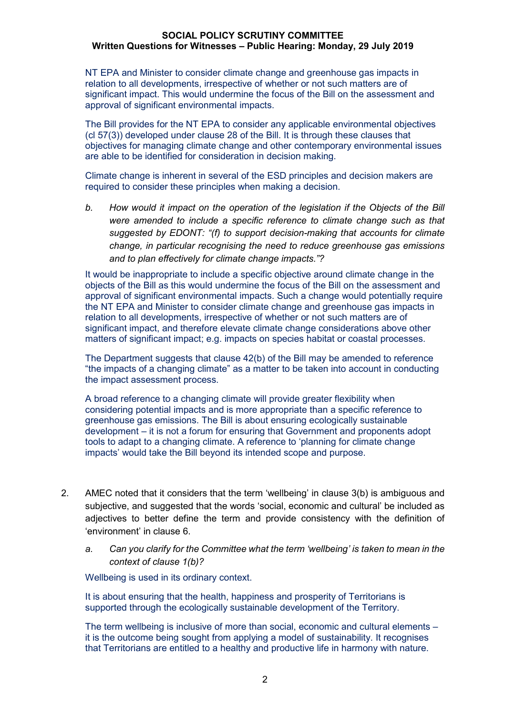NT EPA and Minister to consider climate change and greenhouse gas impacts in relation to all developments, irrespective of whether or not such matters are of significant impact. This would undermine the focus of the Bill on the assessment and approval of significant environmental impacts.

The Bill provides for the NT EPA to consider any applicable environmental objectives (cl 57(3)) developed under clause 28 of the Bill. It is through these clauses that objectives for managing climate change and other contemporary environmental issues are able to be identified for consideration in decision making.

Climate change is inherent in several of the ESD principles and decision makers are required to consider these principles when making a decision.

*b. How would it impact on the operation of the legislation if the Objects of the Bill were amended to include a specific reference to climate change such as that suggested by EDONT: "(f) to support decision-making that accounts for climate change, in particular recognising the need to reduce greenhouse gas emissions and to plan effectively for climate change impacts."?* 

It would be inappropriate to include a specific objective around climate change in the objects of the Bill as this would undermine the focus of the Bill on the assessment and approval of significant environmental impacts. Such a change would potentially require the NT EPA and Minister to consider climate change and greenhouse gas impacts in relation to all developments, irrespective of whether or not such matters are of significant impact, and therefore elevate climate change considerations above other matters of significant impact; e.g. impacts on species habitat or coastal processes.

The Department suggests that clause 42(b) of the Bill may be amended to reference "the impacts of a changing climate" as a matter to be taken into account in conducting the impact assessment process.

A broad reference to a changing climate will provide greater flexibility when considering potential impacts and is more appropriate than a specific reference to greenhouse gas emissions. The Bill is about ensuring ecologically sustainable development – it is not a forum for ensuring that Government and proponents adopt tools to adapt to a changing climate. A reference to 'planning for climate change impacts' would take the Bill beyond its intended scope and purpose.

- 2. AMEC noted that it considers that the term 'wellbeing' in clause 3(b) is ambiguous and subjective, and suggested that the words 'social, economic and cultural' be included as adjectives to better define the term and provide consistency with the definition of 'environment' in clause 6.
	- *a. Can you clarify for the Committee what the term 'wellbeing' is taken to mean in the context of clause 1(b)?*

Wellbeing is used in its ordinary context.

It is about ensuring that the health, happiness and prosperity of Territorians is supported through the ecologically sustainable development of the Territory.

The term wellbeing is inclusive of more than social, economic and cultural elements – it is the outcome being sought from applying a model of sustainability. It recognises that Territorians are entitled to a healthy and productive life in harmony with nature.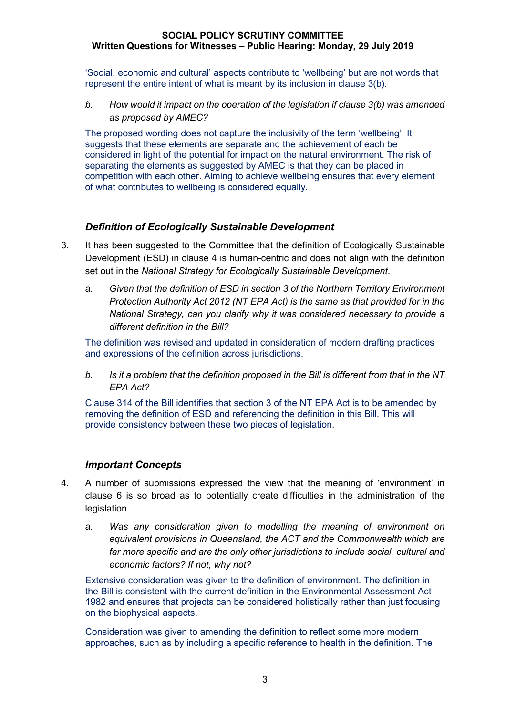'Social, economic and cultural' aspects contribute to 'wellbeing' but are not words that represent the entire intent of what is meant by its inclusion in clause 3(b).

*b. How would it impact on the operation of the legislation if clause 3(b) was amended as proposed by AMEC?*

The proposed wording does not capture the inclusivity of the term 'wellbeing'. It suggests that these elements are separate and the achievement of each be considered in light of the potential for impact on the natural environment. The risk of separating the elements as suggested by AMEC is that they can be placed in competition with each other. Aiming to achieve wellbeing ensures that every element of what contributes to wellbeing is considered equally.

### *Definition of Ecologically Sustainable Development*

- 3. It has been suggested to the Committee that the definition of Ecologically Sustainable Development (ESD) in clause 4 is human-centric and does not align with the definition set out in the *National Strategy for Ecologically Sustainable Development*.
	- *a. Given that the definition of ESD in section 3 of the Northern Territory Environment Protection Authority Act 2012 (NT EPA Act) is the same as that provided for in the National Strategy, can you clarify why it was considered necessary to provide a different definition in the Bill?*

The definition was revised and updated in consideration of modern drafting practices and expressions of the definition across jurisdictions.

*b. Is it a problem that the definition proposed in the Bill is different from that in the NT EPA Act?*

Clause 314 of the Bill identifies that section 3 of the NT EPA Act is to be amended by removing the definition of ESD and referencing the definition in this Bill. This will provide consistency between these two pieces of legislation.

### *Important Concepts*

- 4. A number of submissions expressed the view that the meaning of 'environment' in clause 6 is so broad as to potentially create difficulties in the administration of the legislation.
	- *a. Was any consideration given to modelling the meaning of environment on equivalent provisions in Queensland, the ACT and the Commonwealth which are far more specific and are the only other jurisdictions to include social, cultural and economic factors? If not, why not?*

Extensive consideration was given to the definition of environment. The definition in the Bill is consistent with the current definition in the Environmental Assessment Act 1982 and ensures that projects can be considered holistically rather than just focusing on the biophysical aspects.

Consideration was given to amending the definition to reflect some more modern approaches, such as by including a specific reference to health in the definition. The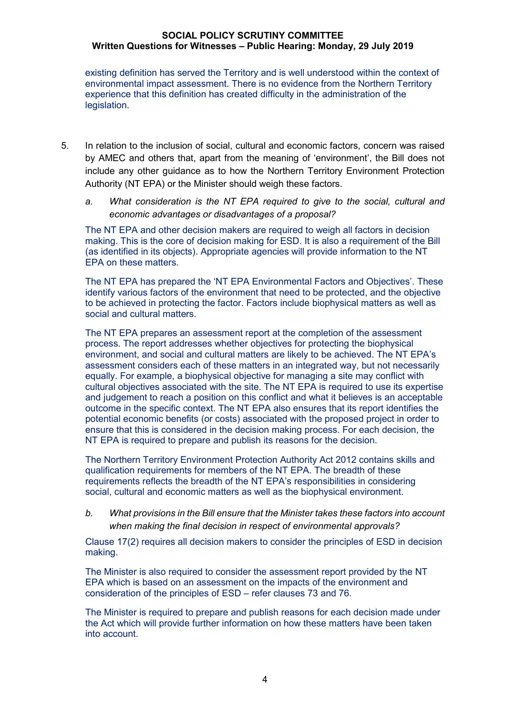existing definition has served the Territory and is well understood within the context of environmental impact assessment. There is no evidence from the Northern Territory experience that this definition has created difficulty in the administration of the legislation.

- 5. In relation to the inclusion of social, cultural and economic factors, concern was raised by AMEC and others that, apart from the meaning of 'environment', the Bill does not include any other guidance as to how the Northern Territory Environment Protection Authority (NT EPA) or the Minister should weigh these factors.
	- *a. What consideration is the NT EPA required to give to the social, cultural and economic advantages or disadvantages of a proposal?*

The NT EPA and other decision makers are required to weigh all factors in decision making. This is the core of decision making for ESD. It is also a requirement of the Bill (as identified in its objects). Appropriate agencies will provide information to the NT EPA on these matters.

The NT EPA has prepared the 'NT EPA Environmental Factors and Objectives'. These identify various factors of the environment that need to be protected, and the objective to be achieved in protecting the factor. Factors include biophysical matters as well as social and cultural matters.

The NT EPA prepares an assessment report at the completion of the assessment process. The report addresses whether objectives for protecting the biophysical environment, and social and cultural matters are likely to be achieved. The NT EPA's assessment considers each of these matters in an integrated way, but not necessarily equally. For example, a biophysical objective for managing a site may conflict with cultural objectives associated with the site. The NT EPA is required to use its expertise and judgement to reach a position on this conflict and what it believes is an acceptable outcome in the specific context. The NT EPA also ensures that its report identifies the potential economic benefits (or costs) associated with the proposed project in order to ensure that this is considered in the decision making process. For each decision, the NT EPA is required to prepare and publish its reasons for the decision.

The Northern Territory Environment Protection Authority Act 2012 contains skills and qualification requirements for members of the NT EPA. The breadth of these requirements reflects the breadth of the NT EPA's responsibilities in considering social, cultural and economic matters as well as the biophysical environment.

*b. What provisions in the Bill ensure that the Minister takes these factors into account when making the final decision in respect of environmental approvals?*

Clause 17(2) requires all decision makers to consider the principles of ESD in decision making.

The Minister is also required to consider the assessment report provided by the NT EPA which is based on an assessment on the impacts of the environment and consideration of the principles of ESD – refer clauses 73 and 76.

The Minister is required to prepare and publish reasons for each decision made under the Act which will provide further information on how these matters have been taken into account.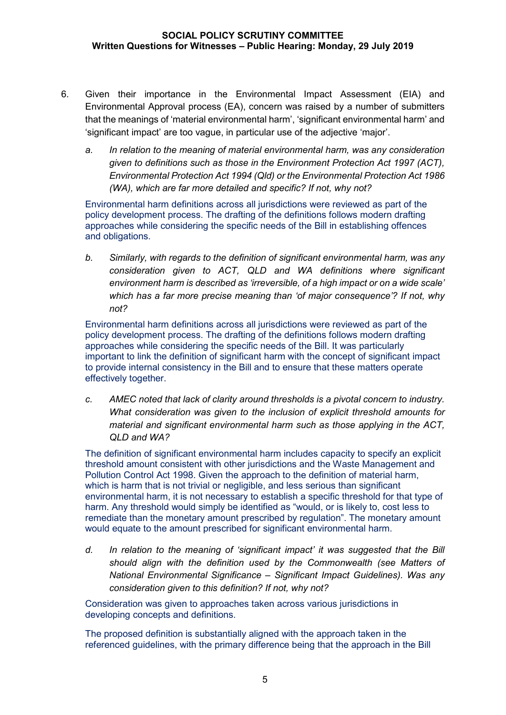- 6. Given their importance in the Environmental Impact Assessment (EIA) and Environmental Approval process (EA), concern was raised by a number of submitters that the meanings of 'material environmental harm', 'significant environmental harm' and 'significant impact' are too vague, in particular use of the adjective 'major'.
	- *a. In relation to the meaning of material environmental harm, was any consideration given to definitions such as those in the Environment Protection Act 1997 (ACT), Environmental Protection Act 1994 (Qld) or the Environmental Protection Act 1986 (WA), which are far more detailed and specific? If not, why not?*

Environmental harm definitions across all jurisdictions were reviewed as part of the policy development process. The drafting of the definitions follows modern drafting approaches while considering the specific needs of the Bill in establishing offences and obligations.

*b. Similarly, with regards to the definition of significant environmental harm, was any consideration given to ACT, QLD and WA definitions where significant environment harm is described as 'irreversible, of a high impact or on a wide scale' which has a far more precise meaning than 'of major consequence'? If not, why not?*

Environmental harm definitions across all jurisdictions were reviewed as part of the policy development process. The drafting of the definitions follows modern drafting approaches while considering the specific needs of the Bill. It was particularly important to link the definition of significant harm with the concept of significant impact to provide internal consistency in the Bill and to ensure that these matters operate effectively together.

*c. AMEC noted that lack of clarity around thresholds is a pivotal concern to industry. What consideration was given to the inclusion of explicit threshold amounts for material and significant environmental harm such as those applying in the ACT, QLD and WA?*

The definition of significant environmental harm includes capacity to specify an explicit threshold amount consistent with other jurisdictions and the Waste Management and Pollution Control Act 1998. Given the approach to the definition of material harm, which is harm that is not trivial or negligible, and less serious than significant environmental harm, it is not necessary to establish a specific threshold for that type of harm. Any threshold would simply be identified as "would, or is likely to, cost less to remediate than the monetary amount prescribed by regulation". The monetary amount would equate to the amount prescribed for significant environmental harm.

*d. In relation to the meaning of 'significant impact' it was suggested that the Bill should align with the definition used by the Commonwealth (see Matters of National Environmental Significance – Significant Impact Guidelines). Was any consideration given to this definition? If not, why not?*

Consideration was given to approaches taken across various jurisdictions in developing concepts and definitions.

The proposed definition is substantially aligned with the approach taken in the referenced guidelines, with the primary difference being that the approach in the Bill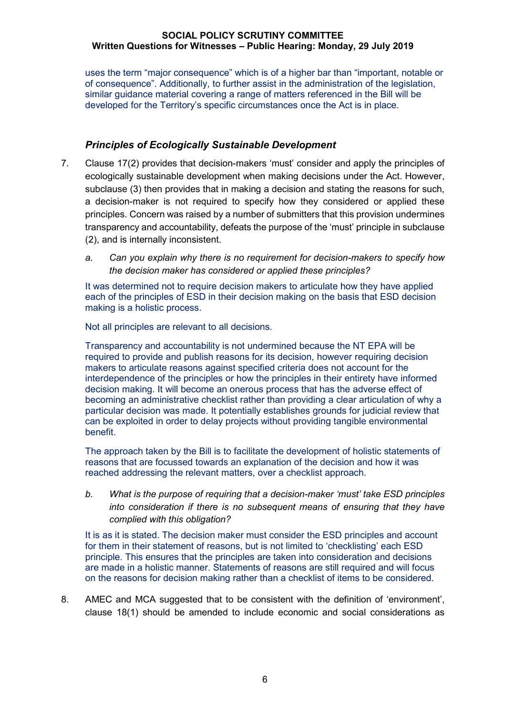uses the term "major consequence" which is of a higher bar than "important, notable or of consequence". Additionally, to further assist in the administration of the legislation, similar guidance material covering a range of matters referenced in the Bill will be developed for the Territory's specific circumstances once the Act is in place.

## *Principles of Ecologically Sustainable Development*

- 7. Clause 17(2) provides that decision-makers 'must' consider and apply the principles of ecologically sustainable development when making decisions under the Act. However, subclause (3) then provides that in making a decision and stating the reasons for such, a decision-maker is not required to specify how they considered or applied these principles. Concern was raised by a number of submitters that this provision undermines transparency and accountability, defeats the purpose of the 'must' principle in subclause (2), and is internally inconsistent.
	- *a. Can you explain why there is no requirement for decision-makers to specify how the decision maker has considered or applied these principles?*

It was determined not to require decision makers to articulate how they have applied each of the principles of ESD in their decision making on the basis that ESD decision making is a holistic process.

Not all principles are relevant to all decisions.

Transparency and accountability is not undermined because the NT EPA will be required to provide and publish reasons for its decision, however requiring decision makers to articulate reasons against specified criteria does not account for the interdependence of the principles or how the principles in their entirety have informed decision making. It will become an onerous process that has the adverse effect of becoming an administrative checklist rather than providing a clear articulation of why a particular decision was made. It potentially establishes grounds for judicial review that can be exploited in order to delay projects without providing tangible environmental benefit.

The approach taken by the Bill is to facilitate the development of holistic statements of reasons that are focussed towards an explanation of the decision and how it was reached addressing the relevant matters, over a checklist approach.

*b. What is the purpose of requiring that a decision-maker 'must' take ESD principles into consideration if there is no subsequent means of ensuring that they have complied with this obligation?*

It is as it is stated. The decision maker must consider the ESD principles and account for them in their statement of reasons, but is not limited to 'checklisting' each ESD principle. This ensures that the principles are taken into consideration and decisions are made in a holistic manner. Statements of reasons are still required and will focus on the reasons for decision making rather than a checklist of items to be considered.

8. AMEC and MCA suggested that to be consistent with the definition of 'environment', clause 18(1) should be amended to include economic and social considerations as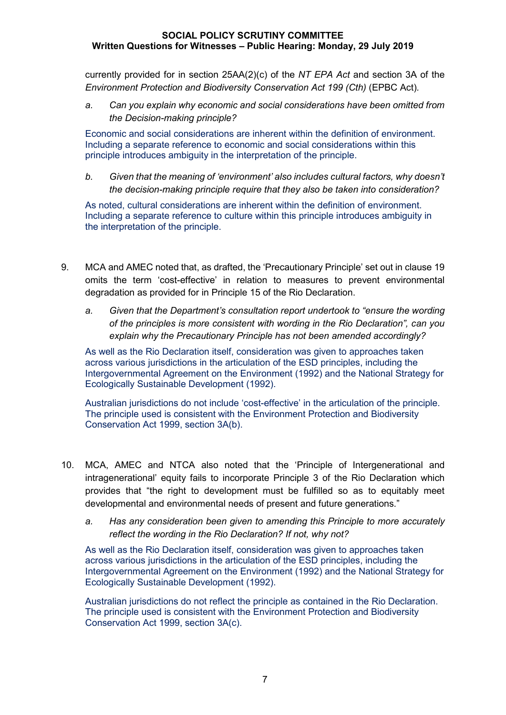currently provided for in section 25AA(2)(c) of the *NT EPA Act* and section 3A of the *Environment Protection and Biodiversity Conservation Act 199 (Cth)* (EPBC Act)*.*

*a. Can you explain why economic and social considerations have been omitted from the Decision-making principle?*

Economic and social considerations are inherent within the definition of environment. Including a separate reference to economic and social considerations within this principle introduces ambiguity in the interpretation of the principle.

*b. Given that the meaning of 'environment' also includes cultural factors, why doesn't the decision-making principle require that they also be taken into consideration?*

As noted, cultural considerations are inherent within the definition of environment. Including a separate reference to culture within this principle introduces ambiguity in the interpretation of the principle.

- 9. MCA and AMEC noted that, as drafted, the 'Precautionary Principle' set out in clause 19 omits the term 'cost-effective' in relation to measures to prevent environmental degradation as provided for in Principle 15 of the Rio Declaration.
	- *a. Given that the Department's consultation report undertook to "ensure the wording of the principles is more consistent with wording in the Rio Declaration", can you explain why the Precautionary Principle has not been amended accordingly?*

As well as the Rio Declaration itself, consideration was given to approaches taken across various jurisdictions in the articulation of the ESD principles, including the Intergovernmental Agreement on the Environment (1992) and the National Strategy for Ecologically Sustainable Development (1992).

Australian jurisdictions do not include 'cost-effective' in the articulation of the principle. The principle used is consistent with the Environment Protection and Biodiversity Conservation Act 1999, section 3A(b).

- 10. MCA, AMEC and NTCA also noted that the 'Principle of Intergenerational and intragenerational' equity fails to incorporate Principle 3 of the Rio Declaration which provides that "the right to development must be fulfilled so as to equitably meet developmental and environmental needs of present and future generations."
	- *a. Has any consideration been given to amending this Principle to more accurately reflect the wording in the Rio Declaration? If not, why not?*

As well as the Rio Declaration itself, consideration was given to approaches taken across various jurisdictions in the articulation of the ESD principles, including the Intergovernmental Agreement on the Environment (1992) and the National Strategy for Ecologically Sustainable Development (1992).

Australian jurisdictions do not reflect the principle as contained in the Rio Declaration. The principle used is consistent with the Environment Protection and Biodiversity Conservation Act 1999, section 3A(c).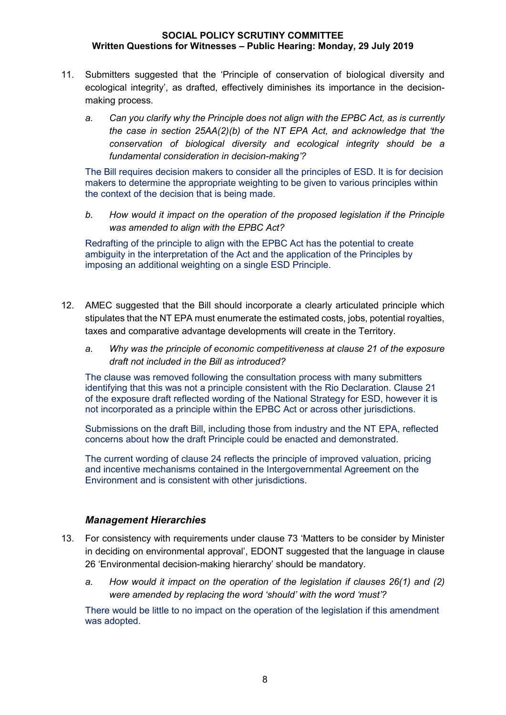- 11. Submitters suggested that the 'Principle of conservation of biological diversity and ecological integrity', as drafted, effectively diminishes its importance in the decisionmaking process.
	- *a. Can you clarify why the Principle does not align with the EPBC Act, as is currently the case in section 25AA(2)(b) of the NT EPA Act, and acknowledge that 'the conservation of biological diversity and ecological integrity should be a fundamental consideration in decision-making'?*

The Bill requires decision makers to consider all the principles of ESD. It is for decision makers to determine the appropriate weighting to be given to various principles within the context of the decision that is being made.

*b. How would it impact on the operation of the proposed legislation if the Principle was amended to align with the EPBC Act?*

Redrafting of the principle to align with the EPBC Act has the potential to create ambiguity in the interpretation of the Act and the application of the Principles by imposing an additional weighting on a single ESD Principle.

- 12. AMEC suggested that the Bill should incorporate a clearly articulated principle which stipulates that the NT EPA must enumerate the estimated costs, jobs, potential royalties, taxes and comparative advantage developments will create in the Territory.
	- *a. Why was the principle of economic competitiveness at clause 21 of the exposure draft not included in the Bill as introduced?*

The clause was removed following the consultation process with many submitters identifying that this was not a principle consistent with the Rio Declaration. Clause 21 of the exposure draft reflected wording of the National Strategy for ESD, however it is not incorporated as a principle within the EPBC Act or across other jurisdictions.

Submissions on the draft Bill, including those from industry and the NT EPA, reflected concerns about how the draft Principle could be enacted and demonstrated.

The current wording of clause 24 reflects the principle of improved valuation, pricing and incentive mechanisms contained in the Intergovernmental Agreement on the Environment and is consistent with other jurisdictions.

### *Management Hierarchies*

- 13. For consistency with requirements under clause 73 'Matters to be consider by Minister in deciding on environmental approval', EDONT suggested that the language in clause 26 'Environmental decision-making hierarchy' should be mandatory.
	- *a. How would it impact on the operation of the legislation if clauses 26(1) and (2) were amended by replacing the word 'should' with the word 'must'?*

There would be little to no impact on the operation of the legislation if this amendment was adopted.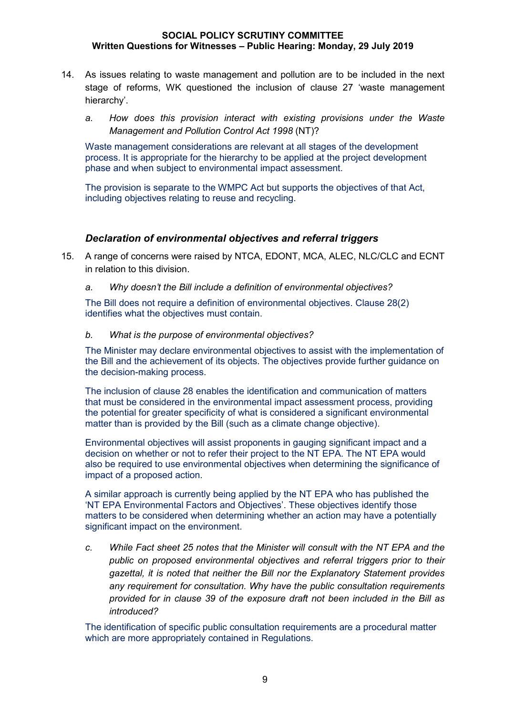- 14. As issues relating to waste management and pollution are to be included in the next stage of reforms, WK questioned the inclusion of clause 27 'waste management hierarchy'.
	- *a. How does this provision interact with existing provisions under the Waste Management and Pollution Control Act 1998* (NT)?

Waste management considerations are relevant at all stages of the development process. It is appropriate for the hierarchy to be applied at the project development phase and when subject to environmental impact assessment.

The provision is separate to the WMPC Act but supports the objectives of that Act, including objectives relating to reuse and recycling.

#### *Declaration of environmental objectives and referral triggers*

- 15. A range of concerns were raised by NTCA, EDONT, MCA, ALEC, NLC/CLC and ECNT in relation to this division.
	- *a. Why doesn't the Bill include a definition of environmental objectives?*

The Bill does not require a definition of environmental objectives. Clause 28(2) identifies what the objectives must contain.

#### *b. What is the purpose of environmental objectives?*

The Minister may declare environmental objectives to assist with the implementation of the Bill and the achievement of its objects. The objectives provide further guidance on the decision-making process.

The inclusion of clause 28 enables the identification and communication of matters that must be considered in the environmental impact assessment process, providing the potential for greater specificity of what is considered a significant environmental matter than is provided by the Bill (such as a climate change objective).

Environmental objectives will assist proponents in gauging significant impact and a decision on whether or not to refer their project to the NT EPA. The NT EPA would also be required to use environmental objectives when determining the significance of impact of a proposed action.

A similar approach is currently being applied by the NT EPA who has published the 'NT EPA Environmental Factors and Objectives'. These objectives identify those matters to be considered when determining whether an action may have a potentially significant impact on the environment.

*c. While Fact sheet 25 notes that the Minister will consult with the NT EPA and the public on proposed environmental objectives and referral triggers prior to their gazettal, it is noted that neither the Bill nor the Explanatory Statement provides any requirement for consultation. Why have the public consultation requirements provided for in clause 39 of the exposure draft not been included in the Bill as introduced?*

The identification of specific public consultation requirements are a procedural matter which are more appropriately contained in Regulations.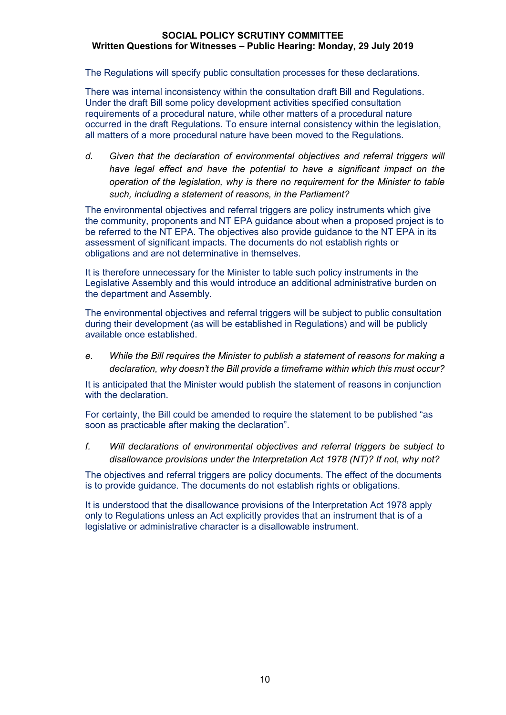The Regulations will specify public consultation processes for these declarations.

There was internal inconsistency within the consultation draft Bill and Regulations. Under the draft Bill some policy development activities specified consultation requirements of a procedural nature, while other matters of a procedural nature occurred in the draft Regulations. To ensure internal consistency within the legislation, all matters of a more procedural nature have been moved to the Regulations.

*d. Given that the declaration of environmental objectives and referral triggers will have legal effect and have the potential to have a significant impact on the operation of the legislation, why is there no requirement for the Minister to table such, including a statement of reasons, in the Parliament?*

The environmental objectives and referral triggers are policy instruments which give the community, proponents and NT EPA guidance about when a proposed project is to be referred to the NT EPA. The objectives also provide guidance to the NT EPA in its assessment of significant impacts. The documents do not establish rights or obligations and are not determinative in themselves.

It is therefore unnecessary for the Minister to table such policy instruments in the Legislative Assembly and this would introduce an additional administrative burden on the department and Assembly.

The environmental objectives and referral triggers will be subject to public consultation during their development (as will be established in Regulations) and will be publicly available once established.

*e. While the Bill requires the Minister to publish a statement of reasons for making a declaration, why doesn't the Bill provide a timeframe within which this must occur?*

It is anticipated that the Minister would publish the statement of reasons in conjunction with the declaration.

For certainty, the Bill could be amended to require the statement to be published "as soon as practicable after making the declaration".

*f. Will declarations of environmental objectives and referral triggers be subject to disallowance provisions under the Interpretation Act 1978 (NT)? If not, why not?*

The objectives and referral triggers are policy documents. The effect of the documents is to provide guidance. The documents do not establish rights or obligations.

It is understood that the disallowance provisions of the Interpretation Act 1978 apply only to Regulations unless an Act explicitly provides that an instrument that is of a legislative or administrative character is a disallowable instrument.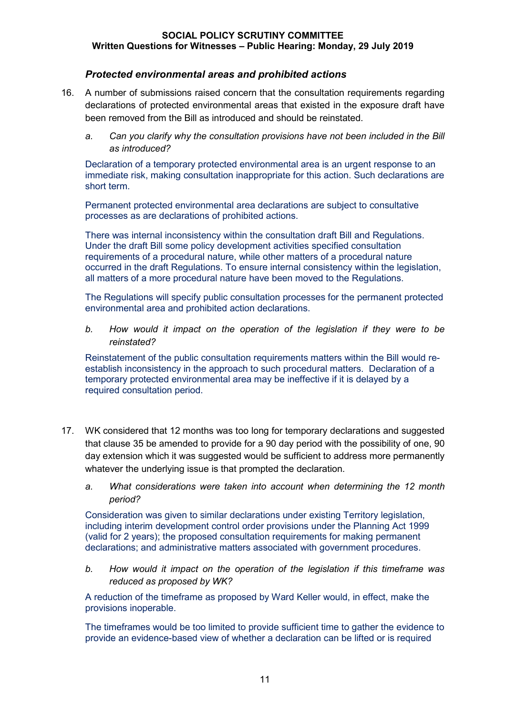## *Protected environmental areas and prohibited actions*

- 16. A number of submissions raised concern that the consultation requirements regarding declarations of protected environmental areas that existed in the exposure draft have been removed from the Bill as introduced and should be reinstated.
	- *a. Can you clarify why the consultation provisions have not been included in the Bill as introduced?*

Declaration of a temporary protected environmental area is an urgent response to an immediate risk, making consultation inappropriate for this action. Such declarations are short term.

Permanent protected environmental area declarations are subject to consultative processes as are declarations of prohibited actions.

There was internal inconsistency within the consultation draft Bill and Regulations. Under the draft Bill some policy development activities specified consultation requirements of a procedural nature, while other matters of a procedural nature occurred in the draft Regulations. To ensure internal consistency within the legislation, all matters of a more procedural nature have been moved to the Regulations.

The Regulations will specify public consultation processes for the permanent protected environmental area and prohibited action declarations.

*b. How would it impact on the operation of the legislation if they were to be reinstated?*

Reinstatement of the public consultation requirements matters within the Bill would reestablish inconsistency in the approach to such procedural matters. Declaration of a temporary protected environmental area may be ineffective if it is delayed by a required consultation period.

- 17. WK considered that 12 months was too long for temporary declarations and suggested that clause 35 be amended to provide for a 90 day period with the possibility of one, 90 day extension which it was suggested would be sufficient to address more permanently whatever the underlying issue is that prompted the declaration.
	- *a. What considerations were taken into account when determining the 12 month period?*

Consideration was given to similar declarations under existing Territory legislation, including interim development control order provisions under the Planning Act 1999 (valid for 2 years); the proposed consultation requirements for making permanent declarations; and administrative matters associated with government procedures.

*b. How would it impact on the operation of the legislation if this timeframe was reduced as proposed by WK?*

A reduction of the timeframe as proposed by Ward Keller would, in effect, make the provisions inoperable.

The timeframes would be too limited to provide sufficient time to gather the evidence to provide an evidence-based view of whether a declaration can be lifted or is required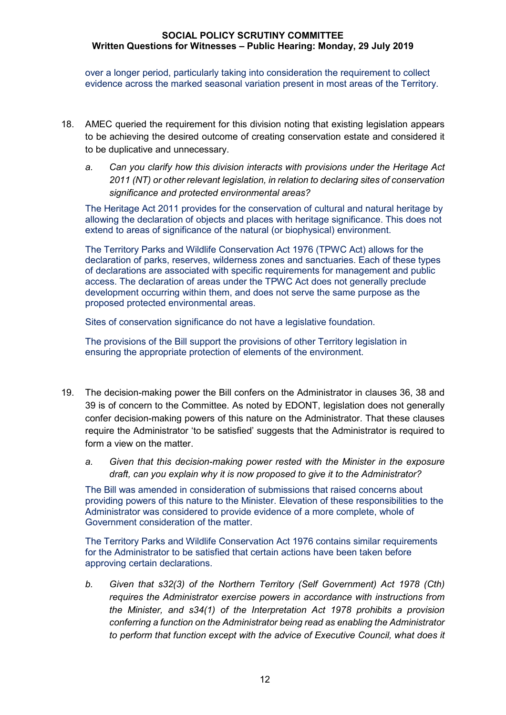over a longer period, particularly taking into consideration the requirement to collect evidence across the marked seasonal variation present in most areas of the Territory.

- 18. AMEC queried the requirement for this division noting that existing legislation appears to be achieving the desired outcome of creating conservation estate and considered it to be duplicative and unnecessary.
	- *a. Can you clarify how this division interacts with provisions under the Heritage Act 2011 (NT) or other relevant legislation, in relation to declaring sites of conservation significance and protected environmental areas?*

The Heritage Act 2011 provides for the conservation of cultural and natural heritage by allowing the declaration of objects and places with heritage significance. This does not extend to areas of significance of the natural (or biophysical) environment.

The Territory Parks and Wildlife Conservation Act 1976 (TPWC Act) allows for the declaration of parks, reserves, wilderness zones and sanctuaries. Each of these types of declarations are associated with specific requirements for management and public access. The declaration of areas under the TPWC Act does not generally preclude development occurring within them, and does not serve the same purpose as the proposed protected environmental areas.

Sites of conservation significance do not have a legislative foundation.

The provisions of the Bill support the provisions of other Territory legislation in ensuring the appropriate protection of elements of the environment.

- 19. The decision-making power the Bill confers on the Administrator in clauses 36, 38 and 39 is of concern to the Committee. As noted by EDONT, legislation does not generally confer decision-making powers of this nature on the Administrator. That these clauses require the Administrator 'to be satisfied' suggests that the Administrator is required to form a view on the matter.
	- *a. Given that this decision-making power rested with the Minister in the exposure draft, can you explain why it is now proposed to give it to the Administrator?*

The Bill was amended in consideration of submissions that raised concerns about providing powers of this nature to the Minister. Elevation of these responsibilities to the Administrator was considered to provide evidence of a more complete, whole of Government consideration of the matter.

The Territory Parks and Wildlife Conservation Act 1976 contains similar requirements for the Administrator to be satisfied that certain actions have been taken before approving certain declarations.

*b. Given that s32(3) of the Northern Territory (Self Government) Act 1978 (Cth) requires the Administrator exercise powers in accordance with instructions from the Minister, and s34(1) of the Interpretation Act 1978 prohibits a provision conferring a function on the Administrator being read as enabling the Administrator to perform that function except with the advice of Executive Council, what does it*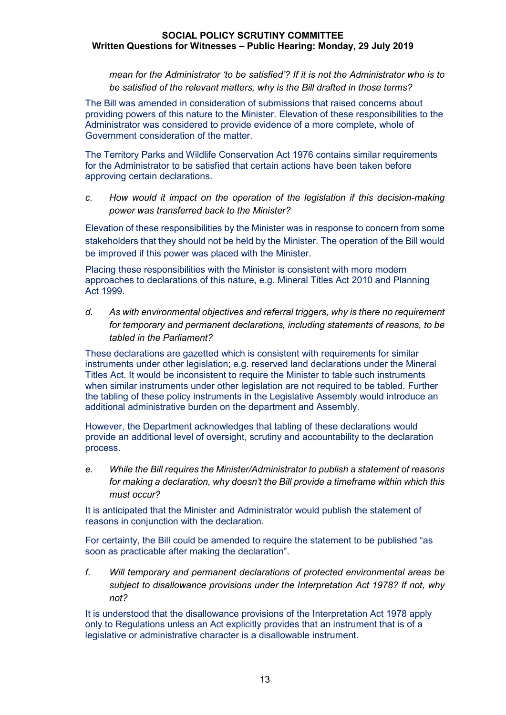*mean for the Administrator 'to be satisfied'? If it is not the Administrator who is to be satisfied of the relevant matters, why is the Bill drafted in those terms?*

The Bill was amended in consideration of submissions that raised concerns about providing powers of this nature to the Minister. Elevation of these responsibilities to the Administrator was considered to provide evidence of a more complete, whole of Government consideration of the matter.

The Territory Parks and Wildlife Conservation Act 1976 contains similar requirements for the Administrator to be satisfied that certain actions have been taken before approving certain declarations.

*c. How would it impact on the operation of the legislation if this decision-making power was transferred back to the Minister?*

Elevation of these responsibilities by the Minister was in response to concern from some stakeholders that they should not be held by the Minister. The operation of the Bill would be improved if this power was placed with the Minister.

Placing these responsibilities with the Minister is consistent with more modern approaches to declarations of this nature, e.g. Mineral Titles Act 2010 and Planning Act 1999.

*d. As with environmental objectives and referral triggers, why is there no requirement for temporary and permanent declarations, including statements of reasons, to be tabled in the Parliament?*

These declarations are gazetted which is consistent with requirements for similar instruments under other legislation; e.g. reserved land declarations under the Mineral Titles Act. It would be inconsistent to require the Minister to table such instruments when similar instruments under other legislation are not required to be tabled. Further the tabling of these policy instruments in the Legislative Assembly would introduce an additional administrative burden on the department and Assembly.

However, the Department acknowledges that tabling of these declarations would provide an additional level of oversight, scrutiny and accountability to the declaration process.

*e. While the Bill requires the Minister/Administrator to publish a statement of reasons for making a declaration, why doesn't the Bill provide a timeframe within which this must occur?*

It is anticipated that the Minister and Administrator would publish the statement of reasons in conjunction with the declaration.

For certainty, the Bill could be amended to require the statement to be published "as soon as practicable after making the declaration".

*f. Will temporary and permanent declarations of protected environmental areas be subject to disallowance provisions under the Interpretation Act 1978? If not, why not?*

It is understood that the disallowance provisions of the Interpretation Act 1978 apply only to Regulations unless an Act explicitly provides that an instrument that is of a legislative or administrative character is a disallowable instrument.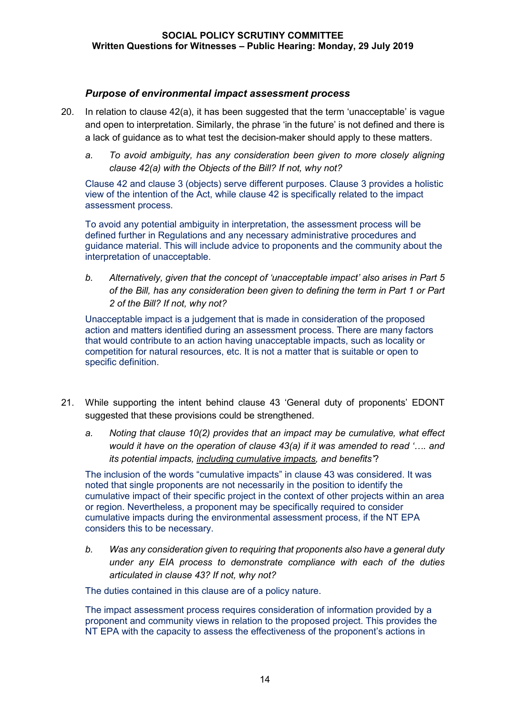## *Purpose of environmental impact assessment process*

- 20. In relation to clause 42(a), it has been suggested that the term 'unacceptable' is vague and open to interpretation. Similarly, the phrase 'in the future' is not defined and there is a lack of guidance as to what test the decision-maker should apply to these matters.
	- *a. To avoid ambiguity, has any consideration been given to more closely aligning clause 42(a) with the Objects of the Bill? If not, why not?*

Clause 42 and clause 3 (objects) serve different purposes. Clause 3 provides a holistic view of the intention of the Act, while clause 42 is specifically related to the impact assessment process.

To avoid any potential ambiguity in interpretation, the assessment process will be defined further in Regulations and any necessary administrative procedures and guidance material. This will include advice to proponents and the community about the interpretation of unacceptable.

*b. Alternatively, given that the concept of 'unacceptable impact' also arises in Part 5 of the Bill, has any consideration been given to defining the term in Part 1 or Part 2 of the Bill? If not, why not?*

Unacceptable impact is a judgement that is made in consideration of the proposed action and matters identified during an assessment process. There are many factors that would contribute to an action having unacceptable impacts, such as locality or competition for natural resources, etc. It is not a matter that is suitable or open to specific definition.

- 21. While supporting the intent behind clause 43 'General duty of proponents' EDONT suggested that these provisions could be strengthened.
	- *a. Noting that clause 10(2) provides that an impact may be cumulative, what effect would it have on the operation of clause 43(a) if it was amended to read '…. and its potential impacts, including cumulative impacts, and benefits'*?

The inclusion of the words "cumulative impacts" in clause 43 was considered. It was noted that single proponents are not necessarily in the position to identify the cumulative impact of their specific project in the context of other projects within an area or region. Nevertheless, a proponent may be specifically required to consider cumulative impacts during the environmental assessment process, if the NT EPA considers this to be necessary.

*b. Was any consideration given to requiring that proponents also have a general duty under any EIA process to demonstrate compliance with each of the duties articulated in clause 43? If not, why not?*

The duties contained in this clause are of a policy nature.

The impact assessment process requires consideration of information provided by a proponent and community views in relation to the proposed project. This provides the NT EPA with the capacity to assess the effectiveness of the proponent's actions in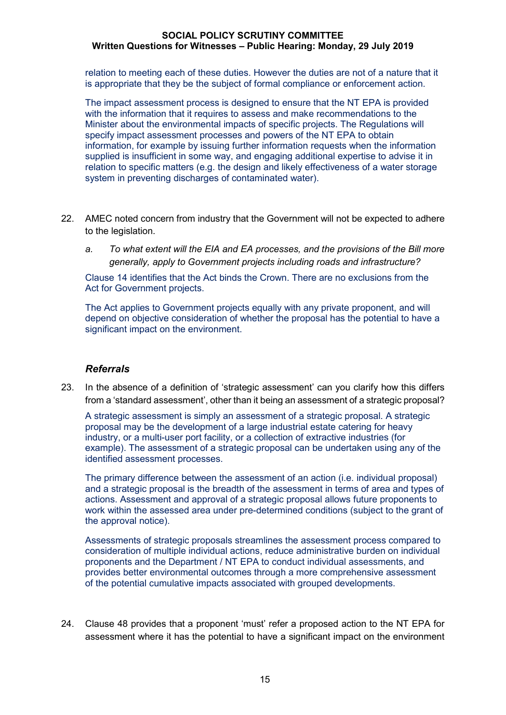relation to meeting each of these duties. However the duties are not of a nature that it is appropriate that they be the subject of formal compliance or enforcement action.

The impact assessment process is designed to ensure that the NT EPA is provided with the information that it requires to assess and make recommendations to the Minister about the environmental impacts of specific projects. The Regulations will specify impact assessment processes and powers of the NT EPA to obtain information, for example by issuing further information requests when the information supplied is insufficient in some way, and engaging additional expertise to advise it in relation to specific matters (e.g. the design and likely effectiveness of a water storage system in preventing discharges of contaminated water).

- 22. AMEC noted concern from industry that the Government will not be expected to adhere to the legislation.
	- *a. To what extent will the EIA and EA processes, and the provisions of the Bill more generally, apply to Government projects including roads and infrastructure?*

Clause 14 identifies that the Act binds the Crown. There are no exclusions from the Act for Government projects.

The Act applies to Government projects equally with any private proponent, and will depend on objective consideration of whether the proposal has the potential to have a significant impact on the environment.

### *Referrals*

23. In the absence of a definition of 'strategic assessment' can you clarify how this differs from a 'standard assessment', other than it being an assessment of a strategic proposal?

A strategic assessment is simply an assessment of a strategic proposal. A strategic proposal may be the development of a large industrial estate catering for heavy industry, or a multi-user port facility, or a collection of extractive industries (for example). The assessment of a strategic proposal can be undertaken using any of the identified assessment processes.

The primary difference between the assessment of an action (i.e. individual proposal) and a strategic proposal is the breadth of the assessment in terms of area and types of actions. Assessment and approval of a strategic proposal allows future proponents to work within the assessed area under pre-determined conditions (subject to the grant of the approval notice).

Assessments of strategic proposals streamlines the assessment process compared to consideration of multiple individual actions, reduce administrative burden on individual proponents and the Department / NT EPA to conduct individual assessments, and provides better environmental outcomes through a more comprehensive assessment of the potential cumulative impacts associated with grouped developments.

24. Clause 48 provides that a proponent 'must' refer a proposed action to the NT EPA for assessment where it has the potential to have a significant impact on the environment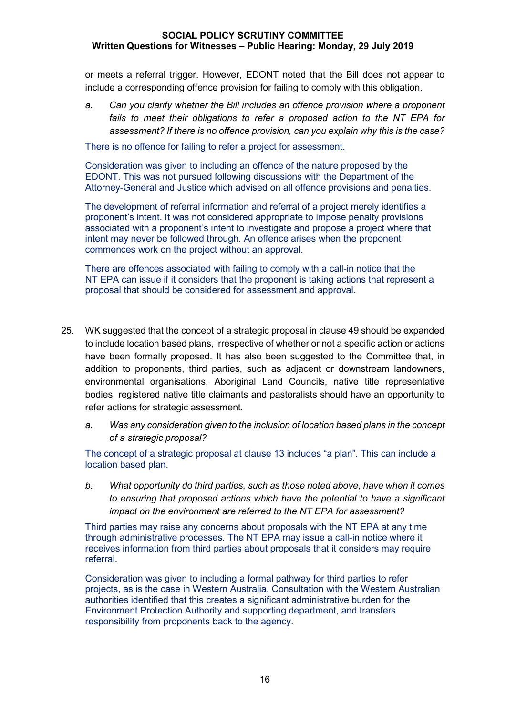or meets a referral trigger. However, EDONT noted that the Bill does not appear to include a corresponding offence provision for failing to comply with this obligation.

*a. Can you clarify whether the Bill includes an offence provision where a proponent fails to meet their obligations to refer a proposed action to the NT EPA for assessment? If there is no offence provision, can you explain why this is the case?*

There is no offence for failing to refer a project for assessment.

Consideration was given to including an offence of the nature proposed by the EDONT. This was not pursued following discussions with the Department of the Attorney-General and Justice which advised on all offence provisions and penalties.

The development of referral information and referral of a project merely identifies a proponent's intent. It was not considered appropriate to impose penalty provisions associated with a proponent's intent to investigate and propose a project where that intent may never be followed through. An offence arises when the proponent commences work on the project without an approval.

There are offences associated with failing to comply with a call-in notice that the NT EPA can issue if it considers that the proponent is taking actions that represent a proposal that should be considered for assessment and approval.

- 25. WK suggested that the concept of a strategic proposal in clause 49 should be expanded to include location based plans, irrespective of whether or not a specific action or actions have been formally proposed. It has also been suggested to the Committee that, in addition to proponents, third parties, such as adjacent or downstream landowners, environmental organisations, Aboriginal Land Councils, native title representative bodies, registered native title claimants and pastoralists should have an opportunity to refer actions for strategic assessment.
	- *a. Was any consideration given to the inclusion of location based plans in the concept of a strategic proposal?*

The concept of a strategic proposal at clause 13 includes "a plan". This can include a location based plan.

*b. What opportunity do third parties, such as those noted above, have when it comes to ensuring that proposed actions which have the potential to have a significant impact on the environment are referred to the NT EPA for assessment?*

Third parties may raise any concerns about proposals with the NT EPA at any time through administrative processes. The NT EPA may issue a call-in notice where it receives information from third parties about proposals that it considers may require referral.

Consideration was given to including a formal pathway for third parties to refer projects, as is the case in Western Australia. Consultation with the Western Australian authorities identified that this creates a significant administrative burden for the Environment Protection Authority and supporting department, and transfers responsibility from proponents back to the agency.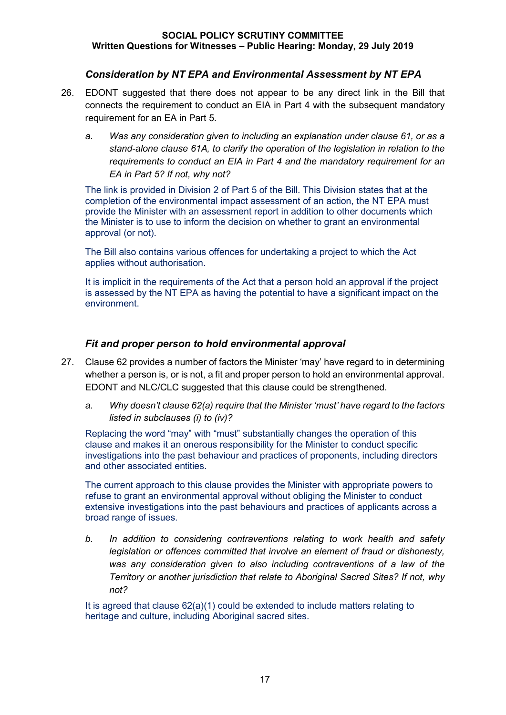## *Consideration by NT EPA and Environmental Assessment by NT EPA*

- 26. EDONT suggested that there does not appear to be any direct link in the Bill that connects the requirement to conduct an EIA in Part 4 with the subsequent mandatory requirement for an EA in Part 5.
	- *a. Was any consideration given to including an explanation under clause 61, or as a stand-alone clause 61A, to clarify the operation of the legislation in relation to the requirements to conduct an EIA in Part 4 and the mandatory requirement for an EA in Part 5? If not, why not?*

The link is provided in Division 2 of Part 5 of the Bill. This Division states that at the completion of the environmental impact assessment of an action, the NT EPA must provide the Minister with an assessment report in addition to other documents which the Minister is to use to inform the decision on whether to grant an environmental approval (or not).

The Bill also contains various offences for undertaking a project to which the Act applies without authorisation.

It is implicit in the requirements of the Act that a person hold an approval if the project is assessed by the NT EPA as having the potential to have a significant impact on the environment.

## *Fit and proper person to hold environmental approval*

- 27. Clause 62 provides a number of factors the Minister 'may' have regard to in determining whether a person is, or is not, a fit and proper person to hold an environmental approval. EDONT and NLC/CLC suggested that this clause could be strengthened.
	- *a. Why doesn't clause 62(a) require that the Minister 'must' have regard to the factors listed in subclauses (i) to (iv)?*

Replacing the word "may" with "must" substantially changes the operation of this clause and makes it an onerous responsibility for the Minister to conduct specific investigations into the past behaviour and practices of proponents, including directors and other associated entities.

The current approach to this clause provides the Minister with appropriate powers to refuse to grant an environmental approval without obliging the Minister to conduct extensive investigations into the past behaviours and practices of applicants across a broad range of issues.

*b. In addition to considering contraventions relating to work health and safety legislation or offences committed that involve an element of fraud or dishonesty, was any consideration given to also including contraventions of a law of the Territory or another jurisdiction that relate to Aboriginal Sacred Sites? If not, why not?*

It is agreed that clause  $62(a)(1)$  could be extended to include matters relating to heritage and culture, including Aboriginal sacred sites.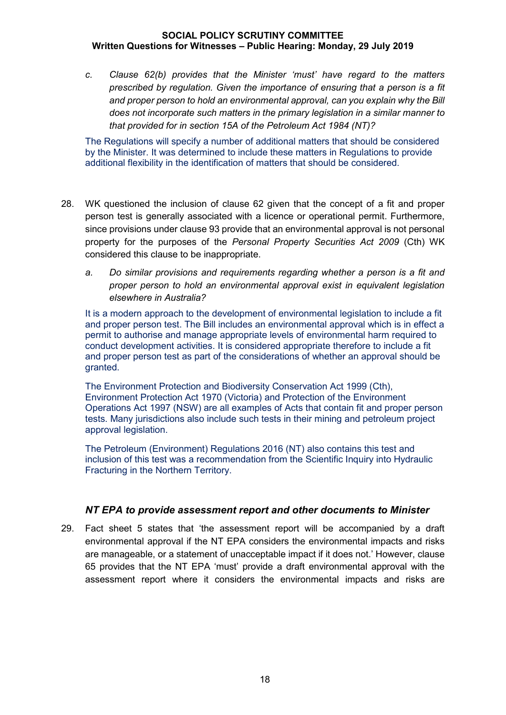*c. Clause 62(b) provides that the Minister 'must' have regard to the matters prescribed by regulation. Given the importance of ensuring that a person is a fit and proper person to hold an environmental approval, can you explain why the Bill does not incorporate such matters in the primary legislation in a similar manner to that provided for in section 15A of the Petroleum Act 1984 (NT)?*

The Regulations will specify a number of additional matters that should be considered by the Minister. It was determined to include these matters in Regulations to provide additional flexibility in the identification of matters that should be considered.

- 28. WK questioned the inclusion of clause 62 given that the concept of a fit and proper person test is generally associated with a licence or operational permit. Furthermore, since provisions under clause 93 provide that an environmental approval is not personal property for the purposes of the *Personal Property Securities Act 2009* (Cth) WK considered this clause to be inappropriate.
	- *a. Do similar provisions and requirements regarding whether a person is a fit and proper person to hold an environmental approval exist in equivalent legislation elsewhere in Australia?*

It is a modern approach to the development of environmental legislation to include a fit and proper person test. The Bill includes an environmental approval which is in effect a permit to authorise and manage appropriate levels of environmental harm required to conduct development activities. It is considered appropriate therefore to include a fit and proper person test as part of the considerations of whether an approval should be granted.

The Environment Protection and Biodiversity Conservation Act 1999 (Cth), Environment Protection Act 1970 (Victoria) and Protection of the Environment Operations Act 1997 (NSW) are all examples of Acts that contain fit and proper person tests. Many jurisdictions also include such tests in their mining and petroleum project approval legislation.

The Petroleum (Environment) Regulations 2016 (NT) also contains this test and inclusion of this test was a recommendation from the Scientific Inquiry into Hydraulic Fracturing in the Northern Territory.

### *NT EPA to provide assessment report and other documents to Minister*

29. Fact sheet 5 states that 'the assessment report will be accompanied by a draft environmental approval if the NT EPA considers the environmental impacts and risks are manageable, or a statement of unacceptable impact if it does not.' However, clause 65 provides that the NT EPA 'must' provide a draft environmental approval with the assessment report where it considers the environmental impacts and risks are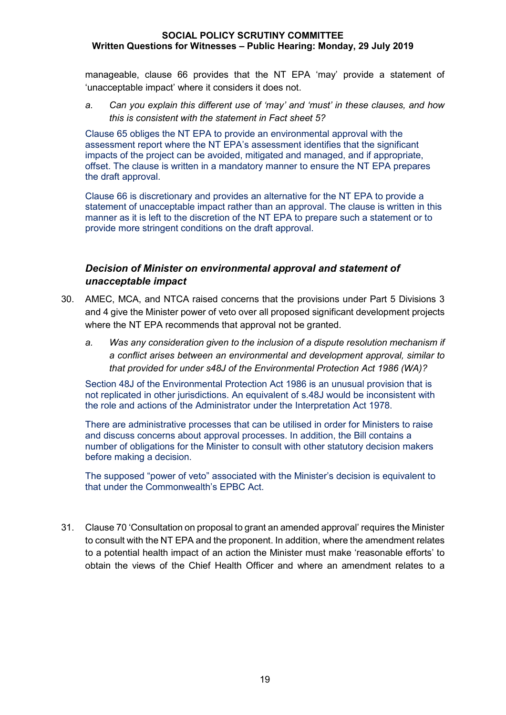manageable, clause 66 provides that the NT EPA 'may' provide a statement of 'unacceptable impact' where it considers it does not.

*a. Can you explain this different use of 'may' and 'must' in these clauses, and how this is consistent with the statement in Fact sheet 5?*

Clause 65 obliges the NT EPA to provide an environmental approval with the assessment report where the NT EPA's assessment identifies that the significant impacts of the project can be avoided, mitigated and managed, and if appropriate, offset. The clause is written in a mandatory manner to ensure the NT EPA prepares the draft approval.

Clause 66 is discretionary and provides an alternative for the NT EPA to provide a statement of unacceptable impact rather than an approval. The clause is written in this manner as it is left to the discretion of the NT EPA to prepare such a statement or to provide more stringent conditions on the draft approval.

## *Decision of Minister on environmental approval and statement of unacceptable impact*

- 30. AMEC, MCA, and NTCA raised concerns that the provisions under Part 5 Divisions 3 and 4 give the Minister power of veto over all proposed significant development projects where the NT EPA recommends that approval not be granted.
	- *a. Was any consideration given to the inclusion of a dispute resolution mechanism if a conflict arises between an environmental and development approval, similar to that provided for under s48J of the Environmental Protection Act 1986 (WA)?*

Section 48J of the Environmental Protection Act 1986 is an unusual provision that is not replicated in other jurisdictions. An equivalent of s.48J would be inconsistent with the role and actions of the Administrator under the Interpretation Act 1978.

There are administrative processes that can be utilised in order for Ministers to raise and discuss concerns about approval processes. In addition, the Bill contains a number of obligations for the Minister to consult with other statutory decision makers before making a decision.

The supposed "power of veto" associated with the Minister's decision is equivalent to that under the Commonwealth's EPBC Act.

31. Clause 70 'Consultation on proposal to grant an amended approval' requires the Minister to consult with the NT EPA and the proponent. In addition, where the amendment relates to a potential health impact of an action the Minister must make 'reasonable efforts' to obtain the views of the Chief Health Officer and where an amendment relates to a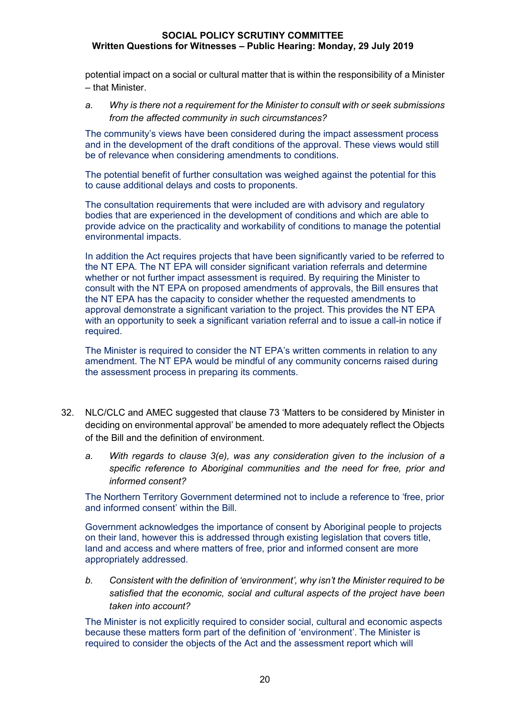potential impact on a social or cultural matter that is within the responsibility of a Minister – that Minister.

*a. Why is there not a requirement for the Minister to consult with or seek submissions from the affected community in such circumstances?*

The community's views have been considered during the impact assessment process and in the development of the draft conditions of the approval. These views would still be of relevance when considering amendments to conditions.

The potential benefit of further consultation was weighed against the potential for this to cause additional delays and costs to proponents.

The consultation requirements that were included are with advisory and regulatory bodies that are experienced in the development of conditions and which are able to provide advice on the practicality and workability of conditions to manage the potential environmental impacts.

In addition the Act requires projects that have been significantly varied to be referred to the NT EPA. The NT EPA will consider significant variation referrals and determine whether or not further impact assessment is required. By requiring the Minister to consult with the NT EPA on proposed amendments of approvals, the Bill ensures that the NT EPA has the capacity to consider whether the requested amendments to approval demonstrate a significant variation to the project. This provides the NT EPA with an opportunity to seek a significant variation referral and to issue a call-in notice if required.

The Minister is required to consider the NT EPA's written comments in relation to any amendment. The NT EPA would be mindful of any community concerns raised during the assessment process in preparing its comments.

- 32. NLC/CLC and AMEC suggested that clause 73 'Matters to be considered by Minister in deciding on environmental approval' be amended to more adequately reflect the Objects of the Bill and the definition of environment.
	- *a. With regards to clause 3(e), was any consideration given to the inclusion of a specific reference to Aboriginal communities and the need for free, prior and informed consent?*

The Northern Territory Government determined not to include a reference to 'free, prior and informed consent' within the Bill.

Government acknowledges the importance of consent by Aboriginal people to projects on their land, however this is addressed through existing legislation that covers title, land and access and where matters of free, prior and informed consent are more appropriately addressed.

*b. Consistent with the definition of 'environment', why isn't the Minister required to be satisfied that the economic, social and cultural aspects of the project have been taken into account?*

The Minister is not explicitly required to consider social, cultural and economic aspects because these matters form part of the definition of 'environment'. The Minister is required to consider the objects of the Act and the assessment report which will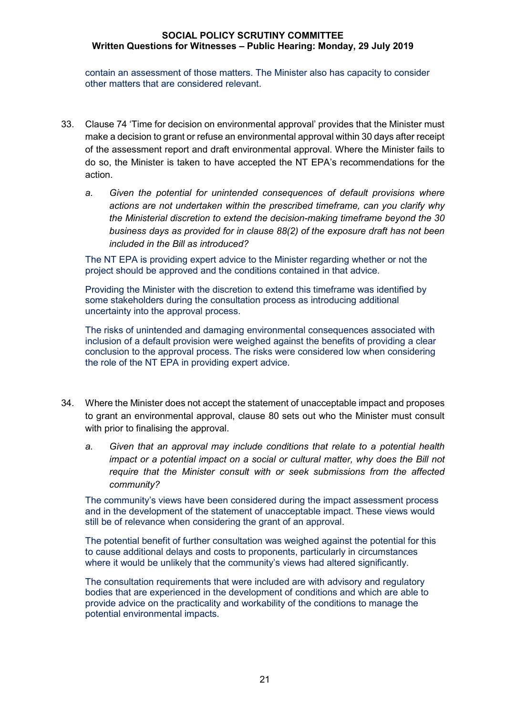contain an assessment of those matters. The Minister also has capacity to consider other matters that are considered relevant.

- 33. Clause 74 'Time for decision on environmental approval' provides that the Minister must make a decision to grant or refuse an environmental approval within 30 days after receipt of the assessment report and draft environmental approval. Where the Minister fails to do so, the Minister is taken to have accepted the NT EPA's recommendations for the action.
	- *a. Given the potential for unintended consequences of default provisions where actions are not undertaken within the prescribed timeframe, can you clarify why the Ministerial discretion to extend the decision-making timeframe beyond the 30 business days as provided for in clause 88(2) of the exposure draft has not been included in the Bill as introduced?*

The NT EPA is providing expert advice to the Minister regarding whether or not the project should be approved and the conditions contained in that advice.

Providing the Minister with the discretion to extend this timeframe was identified by some stakeholders during the consultation process as introducing additional uncertainty into the approval process.

The risks of unintended and damaging environmental consequences associated with inclusion of a default provision were weighed against the benefits of providing a clear conclusion to the approval process. The risks were considered low when considering the role of the NT EPA in providing expert advice.

- 34. Where the Minister does not accept the statement of unacceptable impact and proposes to grant an environmental approval, clause 80 sets out who the Minister must consult with prior to finalising the approval.
	- *a. Given that an approval may include conditions that relate to a potential health impact or a potential impact on a social or cultural matter, why does the Bill not require that the Minister consult with or seek submissions from the affected community?*

The community's views have been considered during the impact assessment process and in the development of the statement of unacceptable impact. These views would still be of relevance when considering the grant of an approval.

The potential benefit of further consultation was weighed against the potential for this to cause additional delays and costs to proponents, particularly in circumstances where it would be unlikely that the community's views had altered significantly.

The consultation requirements that were included are with advisory and regulatory bodies that are experienced in the development of conditions and which are able to provide advice on the practicality and workability of the conditions to manage the potential environmental impacts.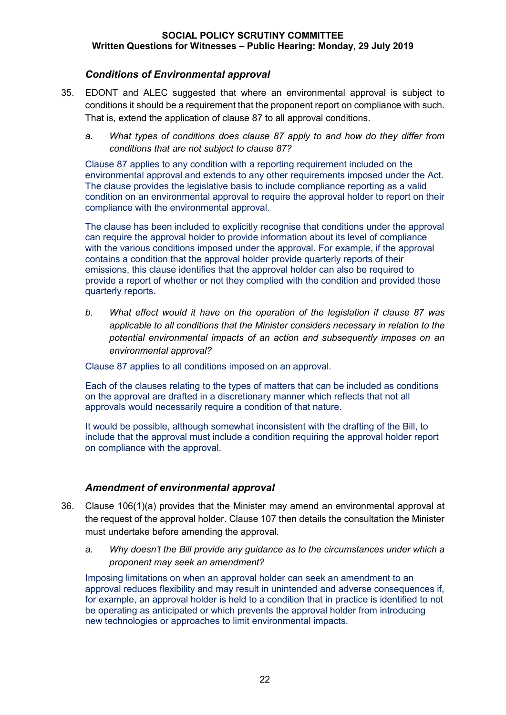## *Conditions of Environmental approval*

- 35. EDONT and ALEC suggested that where an environmental approval is subject to conditions it should be a requirement that the proponent report on compliance with such. That is, extend the application of clause 87 to all approval conditions.
	- *a. What types of conditions does clause 87 apply to and how do they differ from conditions that are not subject to clause 87?*

Clause 87 applies to any condition with a reporting requirement included on the environmental approval and extends to any other requirements imposed under the Act. The clause provides the legislative basis to include compliance reporting as a valid condition on an environmental approval to require the approval holder to report on their compliance with the environmental approval.

The clause has been included to explicitly recognise that conditions under the approval can require the approval holder to provide information about its level of compliance with the various conditions imposed under the approval. For example, if the approval contains a condition that the approval holder provide quarterly reports of their emissions, this clause identifies that the approval holder can also be required to provide a report of whether or not they complied with the condition and provided those quarterly reports.

*b. What effect would it have on the operation of the legislation if clause 87 was applicable to all conditions that the Minister considers necessary in relation to the potential environmental impacts of an action and subsequently imposes on an environmental approval?*

Clause 87 applies to all conditions imposed on an approval.

Each of the clauses relating to the types of matters that can be included as conditions on the approval are drafted in a discretionary manner which reflects that not all approvals would necessarily require a condition of that nature.

It would be possible, although somewhat inconsistent with the drafting of the Bill, to include that the approval must include a condition requiring the approval holder report on compliance with the approval.

## *Amendment of environmental approval*

- 36. Clause 106(1)(a) provides that the Minister may amend an environmental approval at the request of the approval holder. Clause 107 then details the consultation the Minister must undertake before amending the approval.
	- *a. Why doesn't the Bill provide any guidance as to the circumstances under which a proponent may seek an amendment?*

Imposing limitations on when an approval holder can seek an amendment to an approval reduces flexibility and may result in unintended and adverse consequences if, for example, an approval holder is held to a condition that in practice is identified to not be operating as anticipated or which prevents the approval holder from introducing new technologies or approaches to limit environmental impacts.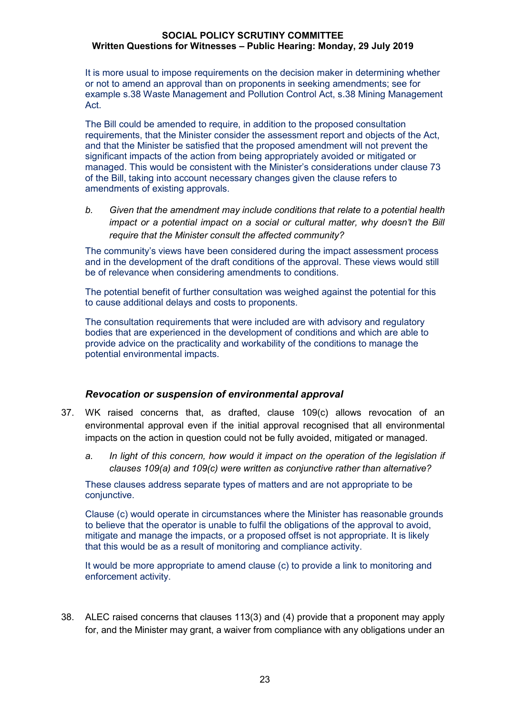It is more usual to impose requirements on the decision maker in determining whether or not to amend an approval than on proponents in seeking amendments; see for example s.38 Waste Management and Pollution Control Act, s.38 Mining Management Act.

The Bill could be amended to require, in addition to the proposed consultation requirements, that the Minister consider the assessment report and objects of the Act, and that the Minister be satisfied that the proposed amendment will not prevent the significant impacts of the action from being appropriately avoided or mitigated or managed. This would be consistent with the Minister's considerations under clause 73 of the Bill, taking into account necessary changes given the clause refers to amendments of existing approvals.

*b. Given that the amendment may include conditions that relate to a potential health impact or a potential impact on a social or cultural matter, why doesn't the Bill require that the Minister consult the affected community?*

The community's views have been considered during the impact assessment process and in the development of the draft conditions of the approval. These views would still be of relevance when considering amendments to conditions.

The potential benefit of further consultation was weighed against the potential for this to cause additional delays and costs to proponents.

The consultation requirements that were included are with advisory and regulatory bodies that are experienced in the development of conditions and which are able to provide advice on the practicality and workability of the conditions to manage the potential environmental impacts.

### *Revocation or suspension of environmental approval*

- 37. WK raised concerns that, as drafted, clause 109(c) allows revocation of an environmental approval even if the initial approval recognised that all environmental impacts on the action in question could not be fully avoided, mitigated or managed.
	- *a. In light of this concern, how would it impact on the operation of the legislation if clauses 109(a) and 109(c) were written as conjunctive rather than alternative?*

These clauses address separate types of matters and are not appropriate to be conjunctive.

Clause (c) would operate in circumstances where the Minister has reasonable grounds to believe that the operator is unable to fulfil the obligations of the approval to avoid, mitigate and manage the impacts, or a proposed offset is not appropriate. It is likely that this would be as a result of monitoring and compliance activity.

It would be more appropriate to amend clause (c) to provide a link to monitoring and enforcement activity.

38. ALEC raised concerns that clauses 113(3) and (4) provide that a proponent may apply for, and the Minister may grant, a waiver from compliance with any obligations under an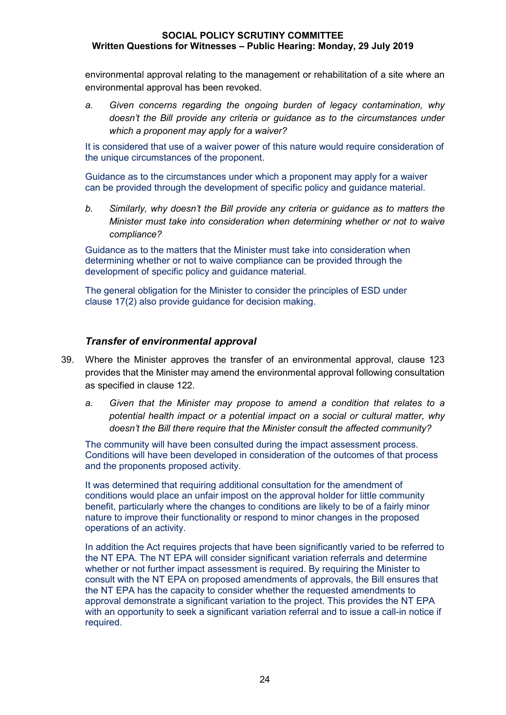environmental approval relating to the management or rehabilitation of a site where an environmental approval has been revoked.

*a. Given concerns regarding the ongoing burden of legacy contamination, why doesn't the Bill provide any criteria or guidance as to the circumstances under which a proponent may apply for a waiver?*

It is considered that use of a waiver power of this nature would require consideration of the unique circumstances of the proponent.

Guidance as to the circumstances under which a proponent may apply for a waiver can be provided through the development of specific policy and guidance material.

*b. Similarly, why doesn't the Bill provide any criteria or guidance as to matters the Minister must take into consideration when determining whether or not to waive compliance?*

Guidance as to the matters that the Minister must take into consideration when determining whether or not to waive compliance can be provided through the development of specific policy and guidance material.

The general obligation for the Minister to consider the principles of ESD under clause 17(2) also provide guidance for decision making.

## *Transfer of environmental approval*

- 39. Where the Minister approves the transfer of an environmental approval, clause 123 provides that the Minister may amend the environmental approval following consultation as specified in clause 122.
	- *a. Given that the Minister may propose to amend a condition that relates to a potential health impact or a potential impact on a social or cultural matter, why doesn't the Bill there require that the Minister consult the affected community?*

The community will have been consulted during the impact assessment process. Conditions will have been developed in consideration of the outcomes of that process and the proponents proposed activity.

It was determined that requiring additional consultation for the amendment of conditions would place an unfair impost on the approval holder for little community benefit, particularly where the changes to conditions are likely to be of a fairly minor nature to improve their functionality or respond to minor changes in the proposed operations of an activity.

In addition the Act requires projects that have been significantly varied to be referred to the NT EPA. The NT EPA will consider significant variation referrals and determine whether or not further impact assessment is required. By requiring the Minister to consult with the NT EPA on proposed amendments of approvals, the Bill ensures that the NT EPA has the capacity to consider whether the requested amendments to approval demonstrate a significant variation to the project. This provides the NT EPA with an opportunity to seek a significant variation referral and to issue a call-in notice if required.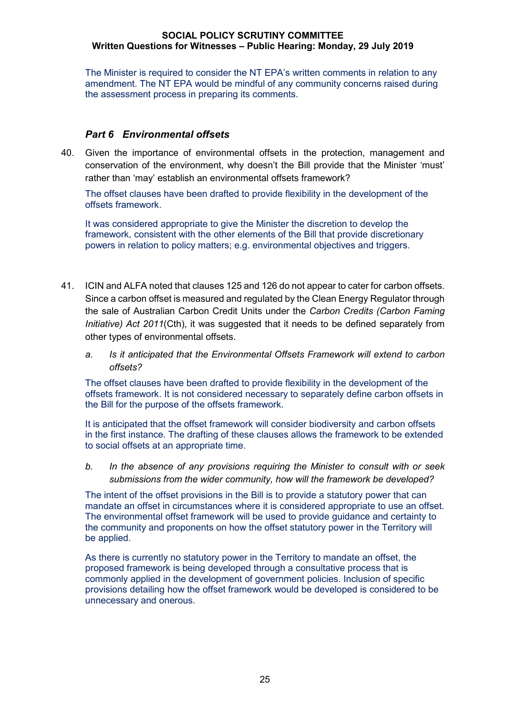The Minister is required to consider the NT EPA's written comments in relation to any amendment. The NT EPA would be mindful of any community concerns raised during the assessment process in preparing its comments.

### *Part 6 Environmental offsets*

40. Given the importance of environmental offsets in the protection, management and conservation of the environment, why doesn't the Bill provide that the Minister 'must' rather than 'may' establish an environmental offsets framework?

The offset clauses have been drafted to provide flexibility in the development of the offsets framework.

It was considered appropriate to give the Minister the discretion to develop the framework, consistent with the other elements of the Bill that provide discretionary powers in relation to policy matters; e.g. environmental objectives and triggers.

- 41. ICIN and ALFA noted that clauses 125 and 126 do not appear to cater for carbon offsets. Since a carbon offset is measured and regulated by the Clean Energy Regulator through the sale of Australian Carbon Credit Units under the *Carbon Credits (Carbon Faming Initiative) Act 2011*(Cth), it was suggested that it needs to be defined separately from other types of environmental offsets.
	- *a. Is it anticipated that the Environmental Offsets Framework will extend to carbon offsets?*

The offset clauses have been drafted to provide flexibility in the development of the offsets framework. It is not considered necessary to separately define carbon offsets in the Bill for the purpose of the offsets framework.

It is anticipated that the offset framework will consider biodiversity and carbon offsets in the first instance. The drafting of these clauses allows the framework to be extended to social offsets at an appropriate time.

*b. In the absence of any provisions requiring the Minister to consult with or seek submissions from the wider community, how will the framework be developed?*

The intent of the offset provisions in the Bill is to provide a statutory power that can mandate an offset in circumstances where it is considered appropriate to use an offset. The environmental offset framework will be used to provide guidance and certainty to the community and proponents on how the offset statutory power in the Territory will be applied.

As there is currently no statutory power in the Territory to mandate an offset, the proposed framework is being developed through a consultative process that is commonly applied in the development of government policies. Inclusion of specific provisions detailing how the offset framework would be developed is considered to be unnecessary and onerous.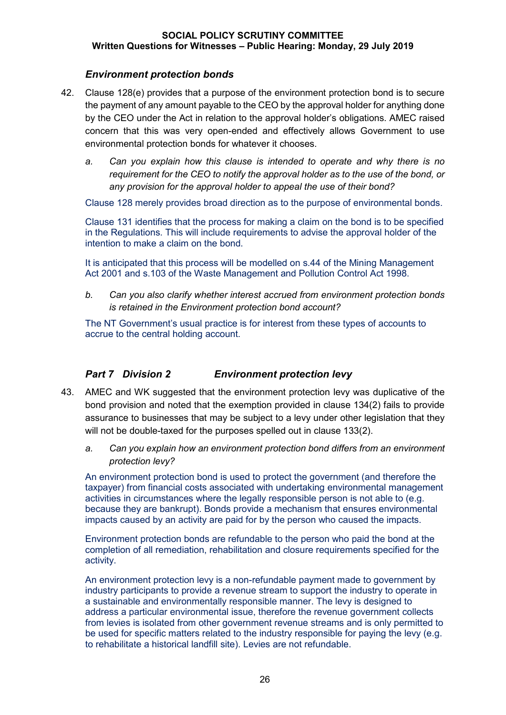## *Environment protection bonds*

- 42. Clause 128(e) provides that a purpose of the environment protection bond is to secure the payment of any amount payable to the CEO by the approval holder for anything done by the CEO under the Act in relation to the approval holder's obligations. AMEC raised concern that this was very open-ended and effectively allows Government to use environmental protection bonds for whatever it chooses.
	- *a. Can you explain how this clause is intended to operate and why there is no requirement for the CEO to notify the approval holder as to the use of the bond, or any provision for the approval holder to appeal the use of their bond?*

Clause 128 merely provides broad direction as to the purpose of environmental bonds.

Clause 131 identifies that the process for making a claim on the bond is to be specified in the Regulations. This will include requirements to advise the approval holder of the intention to make a claim on the bond.

It is anticipated that this process will be modelled on s.44 of the Mining Management Act 2001 and s.103 of the Waste Management and Pollution Control Act 1998.

*b. Can you also clarify whether interest accrued from environment protection bonds is retained in the Environment protection bond account?*

The NT Government's usual practice is for interest from these types of accounts to accrue to the central holding account.

## *Part 7 Division 2 Environment protection levy*

- 43. AMEC and WK suggested that the environment protection levy was duplicative of the bond provision and noted that the exemption provided in clause 134(2) fails to provide assurance to businesses that may be subject to a levy under other legislation that they will not be double-taxed for the purposes spelled out in clause 133(2).
	- *a. Can you explain how an environment protection bond differs from an environment protection levy?*

An environment protection bond is used to protect the government (and therefore the taxpayer) from financial costs associated with undertaking environmental management activities in circumstances where the legally responsible person is not able to (e.g. because they are bankrupt). Bonds provide a mechanism that ensures environmental impacts caused by an activity are paid for by the person who caused the impacts.

Environment protection bonds are refundable to the person who paid the bond at the completion of all remediation, rehabilitation and closure requirements specified for the activity.

An environment protection levy is a non-refundable payment made to government by industry participants to provide a revenue stream to support the industry to operate in a sustainable and environmentally responsible manner. The levy is designed to address a particular environmental issue, therefore the revenue government collects from levies is isolated from other government revenue streams and is only permitted to be used for specific matters related to the industry responsible for paying the levy (e.g. to rehabilitate a historical landfill site). Levies are not refundable.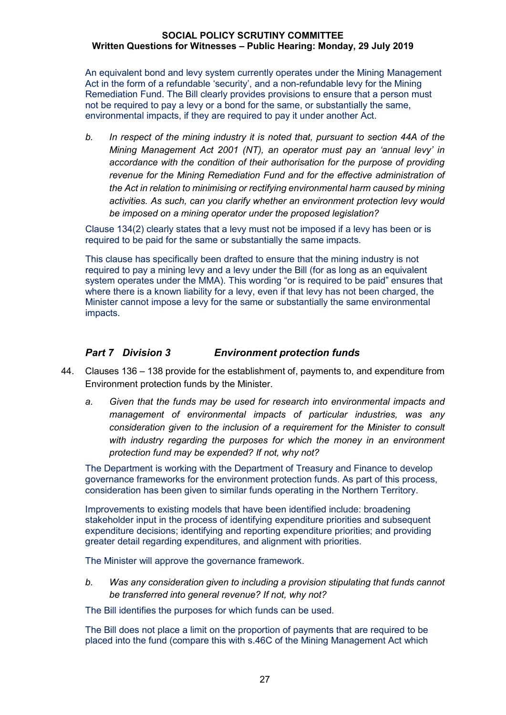An equivalent bond and levy system currently operates under the Mining Management Act in the form of a refundable 'security', and a non-refundable levy for the Mining Remediation Fund. The Bill clearly provides provisions to ensure that a person must not be required to pay a levy or a bond for the same, or substantially the same, environmental impacts, if they are required to pay it under another Act.

*b. In respect of the mining industry it is noted that, pursuant to section 44A of the Mining Management Act 2001 (NT), an operator must pay an 'annual levy' in accordance with the condition of their authorisation for the purpose of providing revenue for the Mining Remediation Fund and for the effective administration of the Act in relation to minimising or rectifying environmental harm caused by mining activities. As such, can you clarify whether an environment protection levy would be imposed on a mining operator under the proposed legislation?*

Clause 134(2) clearly states that a levy must not be imposed if a levy has been or is required to be paid for the same or substantially the same impacts.

This clause has specifically been drafted to ensure that the mining industry is not required to pay a mining levy and a levy under the Bill (for as long as an equivalent system operates under the MMA). This wording "or is required to be paid" ensures that where there is a known liability for a levy, even if that levy has not been charged, the Minister cannot impose a levy for the same or substantially the same environmental impacts.

## *Part 7 Division 3 Environment protection funds*

- 44. Clauses 136 138 provide for the establishment of, payments to, and expenditure from Environment protection funds by the Minister.
	- *a. Given that the funds may be used for research into environmental impacts and management of environmental impacts of particular industries, was any consideration given to the inclusion of a requirement for the Minister to consult with industry regarding the purposes for which the money in an environment protection fund may be expended? If not, why not?*

The Department is working with the Department of Treasury and Finance to develop governance frameworks for the environment protection funds. As part of this process, consideration has been given to similar funds operating in the Northern Territory.

Improvements to existing models that have been identified include: broadening stakeholder input in the process of identifying expenditure priorities and subsequent expenditure decisions; identifying and reporting expenditure priorities; and providing greater detail regarding expenditures, and alignment with priorities.

The Minister will approve the governance framework.

*b. Was any consideration given to including a provision stipulating that funds cannot be transferred into general revenue? If not, why not?*

The Bill identifies the purposes for which funds can be used.

The Bill does not place a limit on the proportion of payments that are required to be placed into the fund (compare this with s.46C of the Mining Management Act which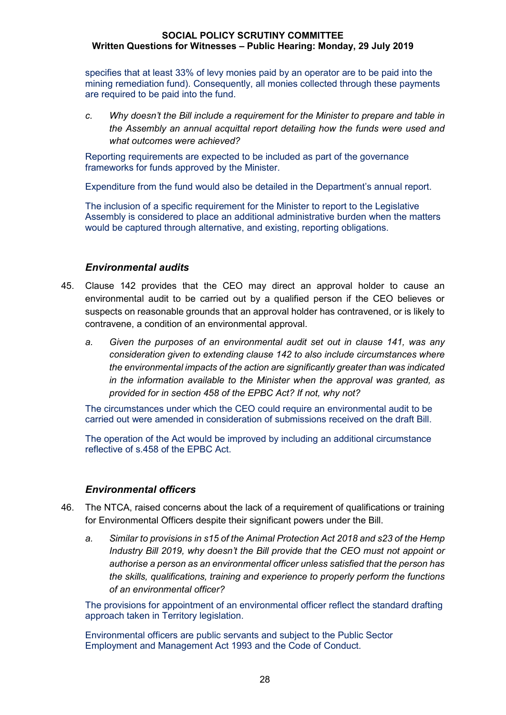specifies that at least 33% of levy monies paid by an operator are to be paid into the mining remediation fund). Consequently, all monies collected through these payments are required to be paid into the fund.

*c. Why doesn't the Bill include a requirement for the Minister to prepare and table in the Assembly an annual acquittal report detailing how the funds were used and what outcomes were achieved?*

Reporting requirements are expected to be included as part of the governance frameworks for funds approved by the Minister.

Expenditure from the fund would also be detailed in the Department's annual report.

The inclusion of a specific requirement for the Minister to report to the Legislative Assembly is considered to place an additional administrative burden when the matters would be captured through alternative, and existing, reporting obligations.

## *Environmental audits*

- 45. Clause 142 provides that the CEO may direct an approval holder to cause an environmental audit to be carried out by a qualified person if the CEO believes or suspects on reasonable grounds that an approval holder has contravened, or is likely to contravene, a condition of an environmental approval.
	- *a. Given the purposes of an environmental audit set out in clause 141, was any consideration given to extending clause 142 to also include circumstances where the environmental impacts of the action are significantly greater than was indicated in the information available to the Minister when the approval was granted, as provided for in section 458 of the EPBC Act? If not, why not?*

The circumstances under which the CEO could require an environmental audit to be carried out were amended in consideration of submissions received on the draft Bill.

The operation of the Act would be improved by including an additional circumstance reflective of s.458 of the EPBC Act.

## *Environmental officers*

- 46. The NTCA, raised concerns about the lack of a requirement of qualifications or training for Environmental Officers despite their significant powers under the Bill.
	- *a. Similar to provisions in s15 of the Animal Protection Act 2018 and s23 of the Hemp Industry Bill 2019, why doesn't the Bill provide that the CEO must not appoint or authorise a person as an environmental officer unless satisfied that the person has the skills, qualifications, training and experience to properly perform the functions of an environmental officer?*

The provisions for appointment of an environmental officer reflect the standard drafting approach taken in Territory legislation.

Environmental officers are public servants and subject to the Public Sector Employment and Management Act 1993 and the Code of Conduct.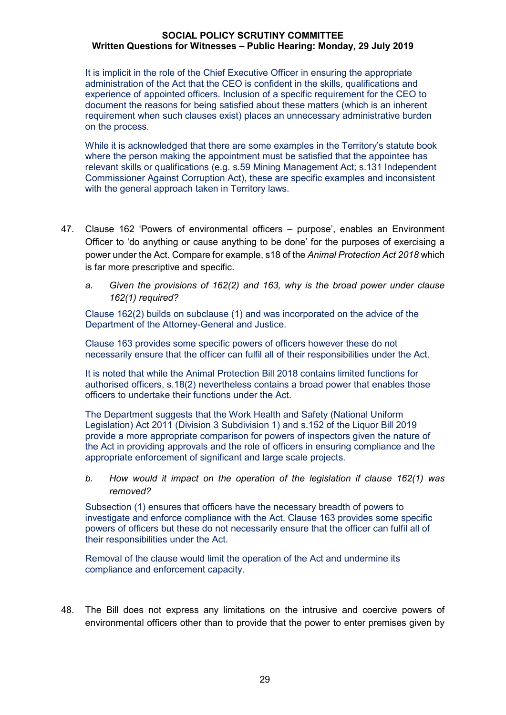It is implicit in the role of the Chief Executive Officer in ensuring the appropriate administration of the Act that the CEO is confident in the skills, qualifications and experience of appointed officers. Inclusion of a specific requirement for the CEO to document the reasons for being satisfied about these matters (which is an inherent requirement when such clauses exist) places an unnecessary administrative burden on the process.

While it is acknowledged that there are some examples in the Territory's statute book where the person making the appointment must be satisfied that the appointee has relevant skills or qualifications (e.g. s.59 Mining Management Act; s.131 Independent Commissioner Against Corruption Act), these are specific examples and inconsistent with the general approach taken in Territory laws.

- 47. Clause 162 'Powers of environmental officers purpose', enables an Environment Officer to 'do anything or cause anything to be done' for the purposes of exercising a power under the Act. Compare for example, s18 of the *Animal Protection Act 2018* which is far more prescriptive and specific.
	- *a. Given the provisions of 162(2) and 163, why is the broad power under clause 162(1) required?*

Clause 162(2) builds on subclause (1) and was incorporated on the advice of the Department of the Attorney-General and Justice.

Clause 163 provides some specific powers of officers however these do not necessarily ensure that the officer can fulfil all of their responsibilities under the Act.

It is noted that while the Animal Protection Bill 2018 contains limited functions for authorised officers, s.18(2) nevertheless contains a broad power that enables those officers to undertake their functions under the Act.

The Department suggests that the Work Health and Safety (National Uniform Legislation) Act 2011 (Division 3 Subdivision 1) and s.152 of the Liquor Bill 2019 provide a more appropriate comparison for powers of inspectors given the nature of the Act in providing approvals and the role of officers in ensuring compliance and the appropriate enforcement of significant and large scale projects.

*b. How would it impact on the operation of the legislation if clause 162(1) was removed?*

Subsection (1) ensures that officers have the necessary breadth of powers to investigate and enforce compliance with the Act. Clause 163 provides some specific powers of officers but these do not necessarily ensure that the officer can fulfil all of their responsibilities under the Act.

Removal of the clause would limit the operation of the Act and undermine its compliance and enforcement capacity.

48. The Bill does not express any limitations on the intrusive and coercive powers of environmental officers other than to provide that the power to enter premises given by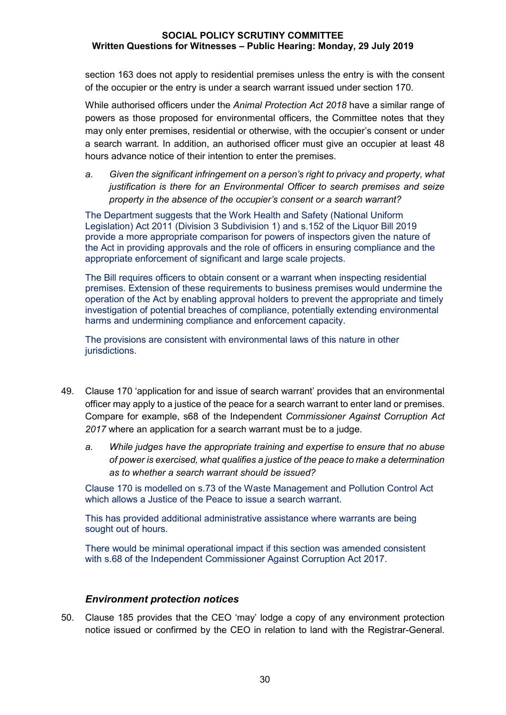section 163 does not apply to residential premises unless the entry is with the consent of the occupier or the entry is under a search warrant issued under section 170.

While authorised officers under the *Animal Protection Act 2018* have a similar range of powers as those proposed for environmental officers, the Committee notes that they may only enter premises, residential or otherwise, with the occupier's consent or under a search warrant. In addition, an authorised officer must give an occupier at least 48 hours advance notice of their intention to enter the premises.

*a. Given the significant infringement on a person's right to privacy and property, what justification is there for an Environmental Officer to search premises and seize property in the absence of the occupier's consent or a search warrant?*

The Department suggests that the Work Health and Safety (National Uniform Legislation) Act 2011 (Division 3 Subdivision 1) and s.152 of the Liquor Bill 2019 provide a more appropriate comparison for powers of inspectors given the nature of the Act in providing approvals and the role of officers in ensuring compliance and the appropriate enforcement of significant and large scale projects.

The Bill requires officers to obtain consent or a warrant when inspecting residential premises. Extension of these requirements to business premises would undermine the operation of the Act by enabling approval holders to prevent the appropriate and timely investigation of potential breaches of compliance, potentially extending environmental harms and undermining compliance and enforcement capacity.

The provisions are consistent with environmental laws of this nature in other jurisdictions.

- 49. Clause 170 'application for and issue of search warrant' provides that an environmental officer may apply to a justice of the peace for a search warrant to enter land or premises. Compare for example, s68 of the Independent *Commissioner Against Corruption Act 2017* where an application for a search warrant must be to a judge.
	- *a. While judges have the appropriate training and expertise to ensure that no abuse of power is exercised, what qualifies a justice of the peace to make a determination as to whether a search warrant should be issued?*

Clause 170 is modelled on s.73 of the Waste Management and Pollution Control Act which allows a Justice of the Peace to issue a search warrant.

This has provided additional administrative assistance where warrants are being sought out of hours.

There would be minimal operational impact if this section was amended consistent with s.68 of the Independent Commissioner Against Corruption Act 2017.

### *Environment protection notices*

50. Clause 185 provides that the CEO 'may' lodge a copy of any environment protection notice issued or confirmed by the CEO in relation to land with the Registrar-General.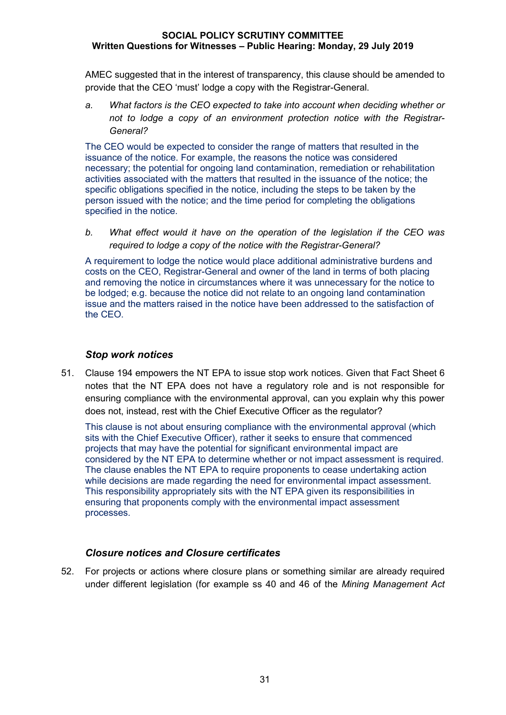AMEC suggested that in the interest of transparency, this clause should be amended to provide that the CEO 'must' lodge a copy with the Registrar-General.

*a. What factors is the CEO expected to take into account when deciding whether or not to lodge a copy of an environment protection notice with the Registrar-General?*

The CEO would be expected to consider the range of matters that resulted in the issuance of the notice. For example, the reasons the notice was considered necessary; the potential for ongoing land contamination, remediation or rehabilitation activities associated with the matters that resulted in the issuance of the notice; the specific obligations specified in the notice, including the steps to be taken by the person issued with the notice; and the time period for completing the obligations specified in the notice.

*b. What effect would it have on the operation of the legislation if the CEO was required to lodge a copy of the notice with the Registrar-General?*

A requirement to lodge the notice would place additional administrative burdens and costs on the CEO, Registrar-General and owner of the land in terms of both placing and removing the notice in circumstances where it was unnecessary for the notice to be lodged; e.g. because the notice did not relate to an ongoing land contamination issue and the matters raised in the notice have been addressed to the satisfaction of the CEO.

### *Stop work notices*

51. Clause 194 empowers the NT EPA to issue stop work notices. Given that Fact Sheet 6 notes that the NT EPA does not have a regulatory role and is not responsible for ensuring compliance with the environmental approval, can you explain why this power does not, instead, rest with the Chief Executive Officer as the regulator?

This clause is not about ensuring compliance with the environmental approval (which sits with the Chief Executive Officer), rather it seeks to ensure that commenced projects that may have the potential for significant environmental impact are considered by the NT EPA to determine whether or not impact assessment is required. The clause enables the NT EPA to require proponents to cease undertaking action while decisions are made regarding the need for environmental impact assessment. This responsibility appropriately sits with the NT EPA given its responsibilities in ensuring that proponents comply with the environmental impact assessment processes.

## *Closure notices and Closure certificates*

52. For projects or actions where closure plans or something similar are already required under different legislation (for example ss 40 and 46 of the *Mining Management Act*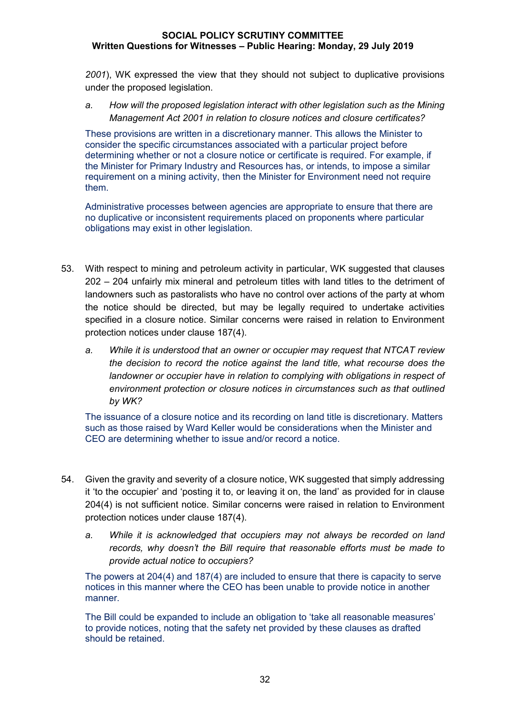*2001*), WK expressed the view that they should not subject to duplicative provisions under the proposed legislation.

*a. How will the proposed legislation interact with other legislation such as the Mining Management Act 2001 in relation to closure notices and closure certificates?*

These provisions are written in a discretionary manner. This allows the Minister to consider the specific circumstances associated with a particular project before determining whether or not a closure notice or certificate is required. For example, if the Minister for Primary Industry and Resources has, or intends, to impose a similar requirement on a mining activity, then the Minister for Environment need not require them.

Administrative processes between agencies are appropriate to ensure that there are no duplicative or inconsistent requirements placed on proponents where particular obligations may exist in other legislation.

- 53. With respect to mining and petroleum activity in particular, WK suggested that clauses 202 – 204 unfairly mix mineral and petroleum titles with land titles to the detriment of landowners such as pastoralists who have no control over actions of the party at whom the notice should be directed, but may be legally required to undertake activities specified in a closure notice. Similar concerns were raised in relation to Environment protection notices under clause 187(4).
	- *a. While it is understood that an owner or occupier may request that NTCAT review the decision to record the notice against the land title, what recourse does the landowner or occupier have in relation to complying with obligations in respect of environment protection or closure notices in circumstances such as that outlined by WK?*

The issuance of a closure notice and its recording on land title is discretionary. Matters such as those raised by Ward Keller would be considerations when the Minister and CEO are determining whether to issue and/or record a notice.

- 54. Given the gravity and severity of a closure notice, WK suggested that simply addressing it 'to the occupier' and 'posting it to, or leaving it on, the land' as provided for in clause 204(4) is not sufficient notice. Similar concerns were raised in relation to Environment protection notices under clause 187(4).
	- *a. While it is acknowledged that occupiers may not always be recorded on land records, why doesn't the Bill require that reasonable efforts must be made to provide actual notice to occupiers?*

The powers at 204(4) and 187(4) are included to ensure that there is capacity to serve notices in this manner where the CEO has been unable to provide notice in another manner.

The Bill could be expanded to include an obligation to 'take all reasonable measures' to provide notices, noting that the safety net provided by these clauses as drafted should be retained.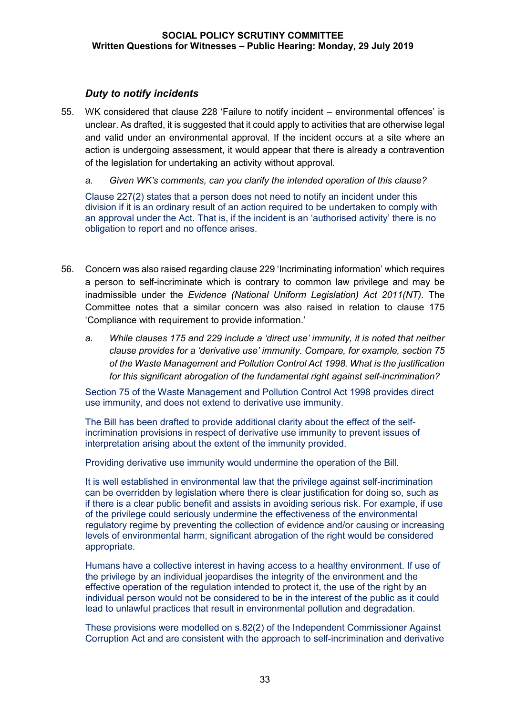## *Duty to notify incidents*

55. WK considered that clause 228 'Failure to notify incident – environmental offences' is unclear. As drafted, it is suggested that it could apply to activities that are otherwise legal and valid under an environmental approval. If the incident occurs at a site where an action is undergoing assessment, it would appear that there is already a contravention of the legislation for undertaking an activity without approval.

*a. Given WK's comments, can you clarify the intended operation of this clause?*

Clause 227(2) states that a person does not need to notify an incident under this division if it is an ordinary result of an action required to be undertaken to comply with an approval under the Act. That is, if the incident is an 'authorised activity' there is no obligation to report and no offence arises.

- 56. Concern was also raised regarding clause 229 'Incriminating information' which requires a person to self-incriminate which is contrary to common law privilege and may be inadmissible under the *Evidence (National Uniform Legislation) Act 2011(NT).* The Committee notes that a similar concern was also raised in relation to clause 175 'Compliance with requirement to provide information.'
	- *a. While clauses 175 and 229 include a 'direct use' immunity, it is noted that neither clause provides for a 'derivative use' immunity. Compare, for example, section 75 of the Waste Management and Pollution Control Act 1998. What is the justification for this significant abrogation of the fundamental right against self-incrimination?*

Section 75 of the Waste Management and Pollution Control Act 1998 provides direct use immunity, and does not extend to derivative use immunity.

The Bill has been drafted to provide additional clarity about the effect of the selfincrimination provisions in respect of derivative use immunity to prevent issues of interpretation arising about the extent of the immunity provided.

Providing derivative use immunity would undermine the operation of the Bill.

It is well established in environmental law that the privilege against self-incrimination can be overridden by legislation where there is clear justification for doing so, such as if there is a clear public benefit and assists in avoiding serious risk. For example, if use of the privilege could seriously undermine the effectiveness of the environmental regulatory regime by preventing the collection of evidence and/or causing or increasing levels of environmental harm, significant abrogation of the right would be considered appropriate.

Humans have a collective interest in having access to a healthy environment. If use of the privilege by an individual jeopardises the integrity of the environment and the effective operation of the regulation intended to protect it, the use of the right by an individual person would not be considered to be in the interest of the public as it could lead to unlawful practices that result in environmental pollution and degradation.

These provisions were modelled on s.82(2) of the Independent Commissioner Against Corruption Act and are consistent with the approach to self-incrimination and derivative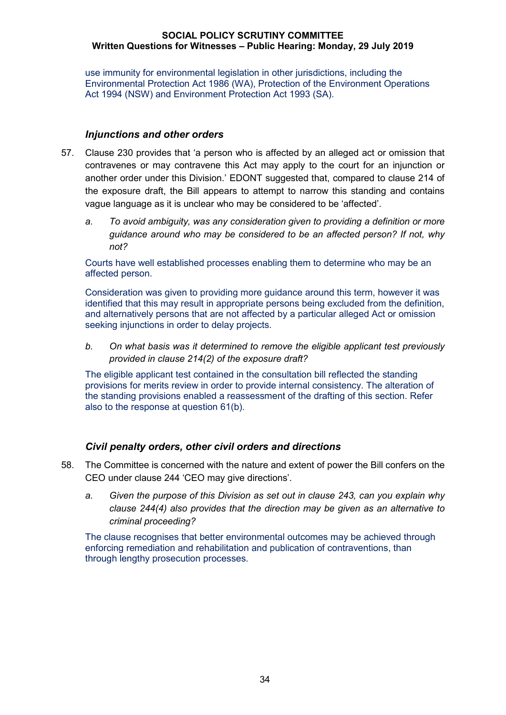use immunity for environmental legislation in other jurisdictions, including the Environmental Protection Act 1986 (WA), Protection of the Environment Operations Act 1994 (NSW) and Environment Protection Act 1993 (SA).

### *Injunctions and other orders*

- 57. Clause 230 provides that 'a person who is affected by an alleged act or omission that contravenes or may contravene this Act may apply to the court for an injunction or another order under this Division.' EDONT suggested that, compared to clause 214 of the exposure draft, the Bill appears to attempt to narrow this standing and contains vague language as it is unclear who may be considered to be 'affected'.
	- *a. To avoid ambiguity, was any consideration given to providing a definition or more guidance around who may be considered to be an affected person? If not, why not?*

Courts have well established processes enabling them to determine who may be an affected person.

Consideration was given to providing more guidance around this term, however it was identified that this may result in appropriate persons being excluded from the definition, and alternatively persons that are not affected by a particular alleged Act or omission seeking injunctions in order to delay projects.

*b. On what basis was it determined to remove the eligible applicant test previously provided in clause 214(2) of the exposure draft?*

The eligible applicant test contained in the consultation bill reflected the standing provisions for merits review in order to provide internal consistency. The alteration of the standing provisions enabled a reassessment of the drafting of this section. Refer also to the response at question 61(b).

### *Civil penalty orders, other civil orders and directions*

- 58. The Committee is concerned with the nature and extent of power the Bill confers on the CEO under clause 244 'CEO may give directions'.
	- *a. Given the purpose of this Division as set out in clause 243, can you explain why clause 244(4) also provides that the direction may be given as an alternative to criminal proceeding?*

The clause recognises that better environmental outcomes may be achieved through enforcing remediation and rehabilitation and publication of contraventions, than through lengthy prosecution processes.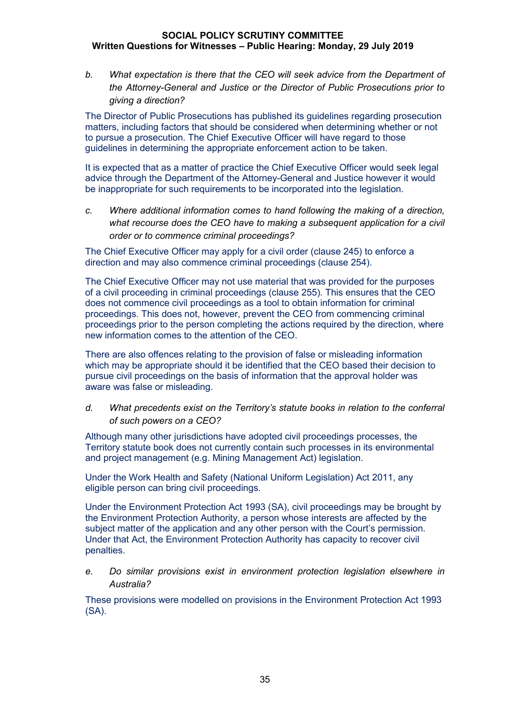*b. What expectation is there that the CEO will seek advice from the Department of the Attorney-General and Justice or the Director of Public Prosecutions prior to giving a direction?*

The Director of Public Prosecutions has published its guidelines regarding prosecution matters, including factors that should be considered when determining whether or not to pursue a prosecution. The Chief Executive Officer will have regard to those guidelines in determining the appropriate enforcement action to be taken.

It is expected that as a matter of practice the Chief Executive Officer would seek legal advice through the Department of the Attorney-General and Justice however it would be inappropriate for such requirements to be incorporated into the legislation.

*c. Where additional information comes to hand following the making of a direction, what recourse does the CEO have to making a subsequent application for a civil order or to commence criminal proceedings?*

The Chief Executive Officer may apply for a civil order (clause 245) to enforce a direction and may also commence criminal proceedings (clause 254).

The Chief Executive Officer may not use material that was provided for the purposes of a civil proceeding in criminal proceedings (clause 255). This ensures that the CEO does not commence civil proceedings as a tool to obtain information for criminal proceedings. This does not, however, prevent the CEO from commencing criminal proceedings prior to the person completing the actions required by the direction, where new information comes to the attention of the CEO.

There are also offences relating to the provision of false or misleading information which may be appropriate should it be identified that the CEO based their decision to pursue civil proceedings on the basis of information that the approval holder was aware was false or misleading.

## *d. What precedents exist on the Territory's statute books in relation to the conferral of such powers on a CEO?*

Although many other jurisdictions have adopted civil proceedings processes, the Territory statute book does not currently contain such processes in its environmental and project management (e.g. Mining Management Act) legislation.

Under the Work Health and Safety (National Uniform Legislation) Act 2011, any eligible person can bring civil proceedings.

Under the Environment Protection Act 1993 (SA), civil proceedings may be brought by the Environment Protection Authority, a person whose interests are affected by the subject matter of the application and any other person with the Court's permission. Under that Act, the Environment Protection Authority has capacity to recover civil penalties.

*e. Do similar provisions exist in environment protection legislation elsewhere in Australia?* 

These provisions were modelled on provisions in the Environment Protection Act 1993 (SA).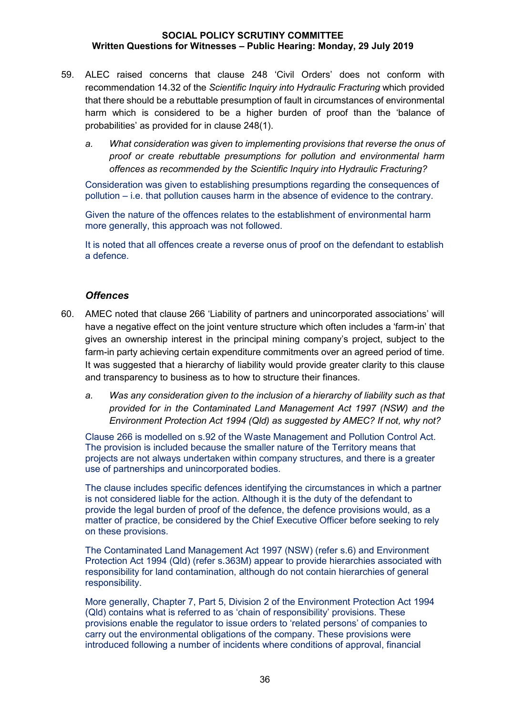- 59. ALEC raised concerns that clause 248 'Civil Orders' does not conform with recommendation 14.32 of the *Scientific Inquiry into Hydraulic Fracturing* which provided that there should be a rebuttable presumption of fault in circumstances of environmental harm which is considered to be a higher burden of proof than the 'balance of probabilities' as provided for in clause 248(1).
	- *a. What consideration was given to implementing provisions that reverse the onus of proof or create rebuttable presumptions for pollution and environmental harm offences as recommended by the Scientific Inquiry into Hydraulic Fracturing?*

Consideration was given to establishing presumptions regarding the consequences of pollution – i.e. that pollution causes harm in the absence of evidence to the contrary.

Given the nature of the offences relates to the establishment of environmental harm more generally, this approach was not followed.

It is noted that all offences create a reverse onus of proof on the defendant to establish a defence.

### *Offences*

- 60. AMEC noted that clause 266 'Liability of partners and unincorporated associations' will have a negative effect on the joint venture structure which often includes a 'farm-in' that gives an ownership interest in the principal mining company's project, subject to the farm-in party achieving certain expenditure commitments over an agreed period of time. It was suggested that a hierarchy of liability would provide greater clarity to this clause and transparency to business as to how to structure their finances.
	- *a. Was any consideration given to the inclusion of a hierarchy of liability such as that provided for in the Contaminated Land Management Act 1997 (NSW) and the Environment Protection Act 1994 (Qld) as suggested by AMEC? If not, why not?*

Clause 266 is modelled on s.92 of the Waste Management and Pollution Control Act. The provision is included because the smaller nature of the Territory means that projects are not always undertaken within company structures, and there is a greater use of partnerships and unincorporated bodies.

The clause includes specific defences identifying the circumstances in which a partner is not considered liable for the action. Although it is the duty of the defendant to provide the legal burden of proof of the defence, the defence provisions would, as a matter of practice, be considered by the Chief Executive Officer before seeking to rely on these provisions.

The Contaminated Land Management Act 1997 (NSW) (refer s.6) and Environment Protection Act 1994 (Qld) (refer s.363M) appear to provide hierarchies associated with responsibility for land contamination, although do not contain hierarchies of general responsibility.

More generally, Chapter 7, Part 5, Division 2 of the Environment Protection Act 1994 (Qld) contains what is referred to as 'chain of responsibility' provisions. These provisions enable the regulator to issue orders to 'related persons' of companies to carry out the environmental obligations of the company. These provisions were introduced following a number of incidents where conditions of approval, financial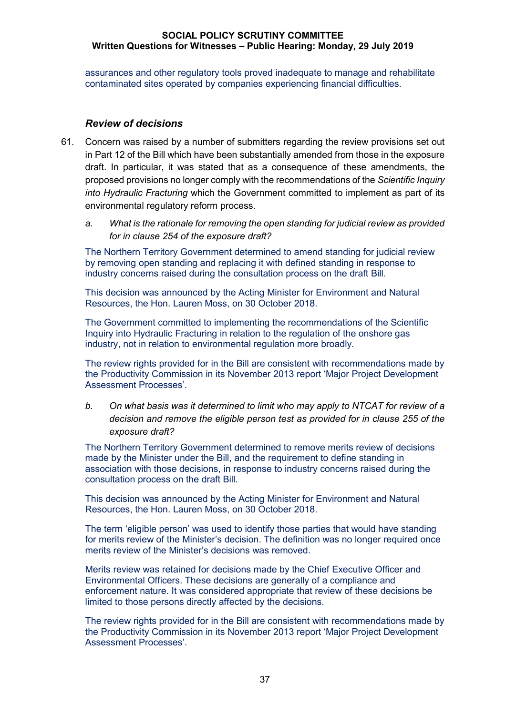assurances and other regulatory tools proved inadequate to manage and rehabilitate contaminated sites operated by companies experiencing financial difficulties.

#### *Review of decisions*

- 61. Concern was raised by a number of submitters regarding the review provisions set out in Part 12 of the Bill which have been substantially amended from those in the exposure draft. In particular, it was stated that as a consequence of these amendments, the proposed provisions no longer comply with the recommendations of the *Scientific Inquiry into Hydraulic Fracturing* which the Government committed to implement as part of its environmental regulatory reform process.
	- *a. What is the rationale for removing the open standing for judicial review as provided for in clause 254 of the exposure draft?*

The Northern Territory Government determined to amend standing for judicial review by removing open standing and replacing it with defined standing in response to industry concerns raised during the consultation process on the draft Bill.

This decision was announced by the Acting Minister for Environment and Natural Resources, the Hon. Lauren Moss, on 30 October 2018.

The Government committed to implementing the recommendations of the Scientific Inquiry into Hydraulic Fracturing in relation to the regulation of the onshore gas industry, not in relation to environmental regulation more broadly.

The review rights provided for in the Bill are consistent with recommendations made by the Productivity Commission in its November 2013 report 'Major Project Development Assessment Processes'.

*b. On what basis was it determined to limit who may apply to NTCAT for review of a decision and remove the eligible person test as provided for in clause 255 of the exposure draft?*

The Northern Territory Government determined to remove merits review of decisions made by the Minister under the Bill, and the requirement to define standing in association with those decisions, in response to industry concerns raised during the consultation process on the draft Bill.

This decision was announced by the Acting Minister for Environment and Natural Resources, the Hon. Lauren Moss, on 30 October 2018.

The term 'eligible person' was used to identify those parties that would have standing for merits review of the Minister's decision. The definition was no longer required once merits review of the Minister's decisions was removed.

Merits review was retained for decisions made by the Chief Executive Officer and Environmental Officers. These decisions are generally of a compliance and enforcement nature. It was considered appropriate that review of these decisions be limited to those persons directly affected by the decisions.

The review rights provided for in the Bill are consistent with recommendations made by the Productivity Commission in its November 2013 report 'Major Project Development Assessment Processes'.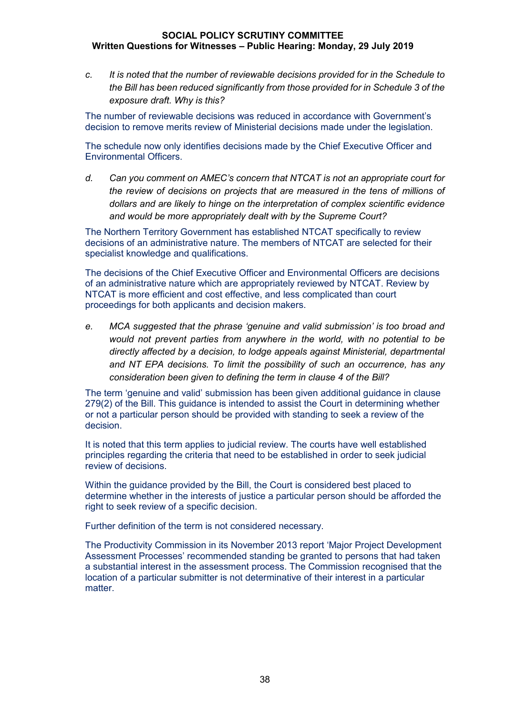*c. It is noted that the number of reviewable decisions provided for in the Schedule to the Bill has been reduced significantly from those provided for in Schedule 3 of the exposure draft. Why is this?*

The number of reviewable decisions was reduced in accordance with Government's decision to remove merits review of Ministerial decisions made under the legislation.

The schedule now only identifies decisions made by the Chief Executive Officer and Environmental Officers.

*d. Can you comment on AMEC's concern that NTCAT is not an appropriate court for the review of decisions on projects that are measured in the tens of millions of dollars and are likely to hinge on the interpretation of complex scientific evidence and would be more appropriately dealt with by the Supreme Court?*

The Northern Territory Government has established NTCAT specifically to review decisions of an administrative nature. The members of NTCAT are selected for their specialist knowledge and qualifications.

The decisions of the Chief Executive Officer and Environmental Officers are decisions of an administrative nature which are appropriately reviewed by NTCAT. Review by NTCAT is more efficient and cost effective, and less complicated than court proceedings for both applicants and decision makers.

*e. MCA suggested that the phrase 'genuine and valid submission' is too broad and would not prevent parties from anywhere in the world, with no potential to be directly affected by a decision, to lodge appeals against Ministerial, departmental and NT EPA decisions. To limit the possibility of such an occurrence, has any consideration been given to defining the term in clause 4 of the Bill?*

The term 'genuine and valid' submission has been given additional guidance in clause 279(2) of the Bill. This guidance is intended to assist the Court in determining whether or not a particular person should be provided with standing to seek a review of the decision.

It is noted that this term applies to judicial review. The courts have well established principles regarding the criteria that need to be established in order to seek judicial review of decisions.

Within the guidance provided by the Bill, the Court is considered best placed to determine whether in the interests of justice a particular person should be afforded the right to seek review of a specific decision.

Further definition of the term is not considered necessary.

The Productivity Commission in its November 2013 report 'Major Project Development Assessment Processes' recommended standing be granted to persons that had taken a substantial interest in the assessment process. The Commission recognised that the location of a particular submitter is not determinative of their interest in a particular matter.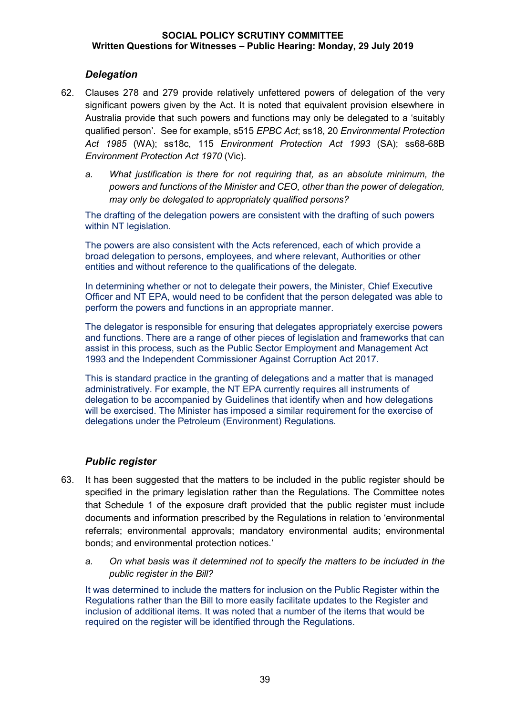## *Delegation*

- 62. Clauses 278 and 279 provide relatively unfettered powers of delegation of the very significant powers given by the Act. It is noted that equivalent provision elsewhere in Australia provide that such powers and functions may only be delegated to a 'suitably qualified person'. See for example, s515 *EPBC Act*; ss18, 20 *Environmental Protection Act 1985* (WA); ss18c, 115 *Environment Protection Act 1993* (SA); ss68-68B *Environment Protection Act 1970* (Vic).
	- *a. What justification is there for not requiring that, as an absolute minimum, the powers and functions of the Minister and CEO, other than the power of delegation, may only be delegated to appropriately qualified persons?*

The drafting of the delegation powers are consistent with the drafting of such powers within NT legislation.

The powers are also consistent with the Acts referenced, each of which provide a broad delegation to persons, employees, and where relevant, Authorities or other entities and without reference to the qualifications of the delegate.

In determining whether or not to delegate their powers, the Minister, Chief Executive Officer and NT EPA, would need to be confident that the person delegated was able to perform the powers and functions in an appropriate manner.

The delegator is responsible for ensuring that delegates appropriately exercise powers and functions. There are a range of other pieces of legislation and frameworks that can assist in this process, such as the Public Sector Employment and Management Act 1993 and the Independent Commissioner Against Corruption Act 2017.

This is standard practice in the granting of delegations and a matter that is managed administratively. For example, the NT EPA currently requires all instruments of delegation to be accompanied by Guidelines that identify when and how delegations will be exercised. The Minister has imposed a similar requirement for the exercise of delegations under the Petroleum (Environment) Regulations.

### *Public register*

- 63. It has been suggested that the matters to be included in the public register should be specified in the primary legislation rather than the Regulations. The Committee notes that Schedule 1 of the exposure draft provided that the public register must include documents and information prescribed by the Regulations in relation to 'environmental referrals; environmental approvals; mandatory environmental audits; environmental bonds; and environmental protection notices.'
	- *a. On what basis was it determined not to specify the matters to be included in the public register in the Bill?*

It was determined to include the matters for inclusion on the Public Register within the Regulations rather than the Bill to more easily facilitate updates to the Register and inclusion of additional items. It was noted that a number of the items that would be required on the register will be identified through the Regulations.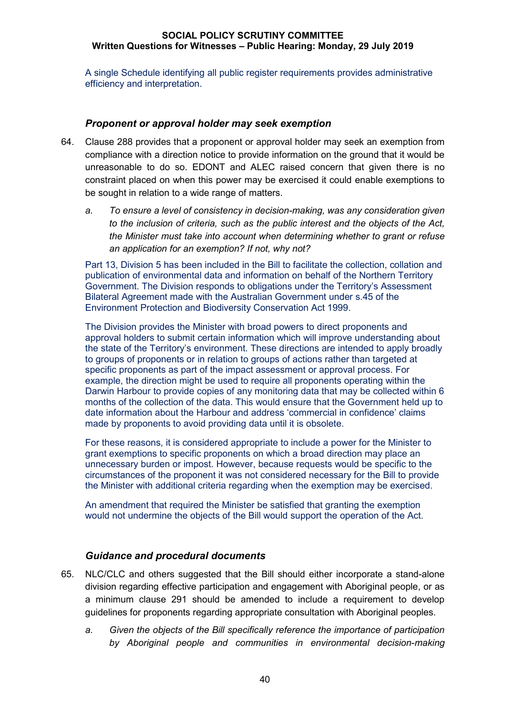A single Schedule identifying all public register requirements provides administrative efficiency and interpretation.

### *Proponent or approval holder may seek exemption*

- 64. Clause 288 provides that a proponent or approval holder may seek an exemption from compliance with a direction notice to provide information on the ground that it would be unreasonable to do so. EDONT and ALEC raised concern that given there is no constraint placed on when this power may be exercised it could enable exemptions to be sought in relation to a wide range of matters.
	- *a. To ensure a level of consistency in decision-making, was any consideration given to the inclusion of criteria, such as the public interest and the objects of the Act, the Minister must take into account when determining whether to grant or refuse an application for an exemption? If not, why not?*

Part 13, Division 5 has been included in the Bill to facilitate the collection, collation and publication of environmental data and information on behalf of the Northern Territory Government. The Division responds to obligations under the Territory's Assessment Bilateral Agreement made with the Australian Government under s.45 of the Environment Protection and Biodiversity Conservation Act 1999.

The Division provides the Minister with broad powers to direct proponents and approval holders to submit certain information which will improve understanding about the state of the Territory's environment. These directions are intended to apply broadly to groups of proponents or in relation to groups of actions rather than targeted at specific proponents as part of the impact assessment or approval process. For example, the direction might be used to require all proponents operating within the Darwin Harbour to provide copies of any monitoring data that may be collected within 6 months of the collection of the data. This would ensure that the Government held up to date information about the Harbour and address 'commercial in confidence' claims made by proponents to avoid providing data until it is obsolete.

For these reasons, it is considered appropriate to include a power for the Minister to grant exemptions to specific proponents on which a broad direction may place an unnecessary burden or impost. However, because requests would be specific to the circumstances of the proponent it was not considered necessary for the Bill to provide the Minister with additional criteria regarding when the exemption may be exercised.

An amendment that required the Minister be satisfied that granting the exemption would not undermine the objects of the Bill would support the operation of the Act.

### *Guidance and procedural documents*

- 65. NLC/CLC and others suggested that the Bill should either incorporate a stand-alone division regarding effective participation and engagement with Aboriginal people, or as a minimum clause 291 should be amended to include a requirement to develop guidelines for proponents regarding appropriate consultation with Aboriginal peoples.
	- *a. Given the objects of the Bill specifically reference the importance of participation by Aboriginal people and communities in environmental decision-making*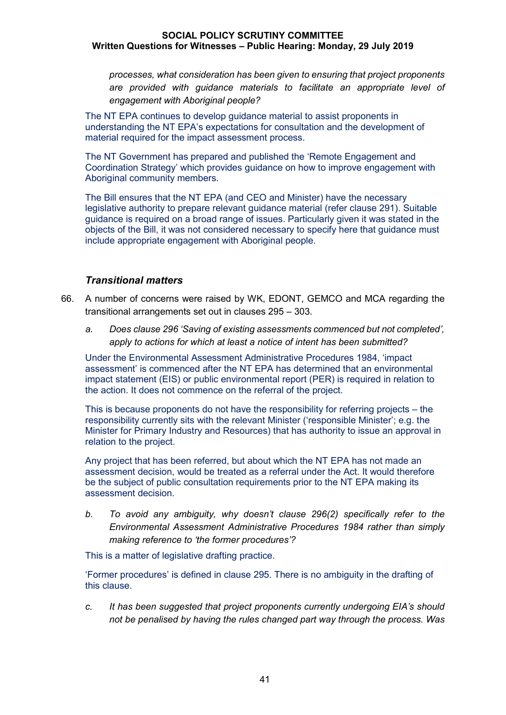*processes, what consideration has been given to ensuring that project proponents are provided with guidance materials to facilitate an appropriate level of engagement with Aboriginal people?*

The NT EPA continues to develop guidance material to assist proponents in understanding the NT EPA's expectations for consultation and the development of material required for the impact assessment process.

The NT Government has prepared and published the 'Remote Engagement and Coordination Strategy' which provides guidance on how to improve engagement with Aboriginal community members.

The Bill ensures that the NT EPA (and CEO and Minister) have the necessary legislative authority to prepare relevant guidance material (refer clause 291). Suitable guidance is required on a broad range of issues. Particularly given it was stated in the objects of the Bill, it was not considered necessary to specify here that guidance must include appropriate engagement with Aboriginal people.

### *Transitional matters*

- 66. A number of concerns were raised by WK, EDONT, GEMCO and MCA regarding the transitional arrangements set out in clauses 295 – 303.
	- *a. Does clause 296 'Saving of existing assessments commenced but not completed', apply to actions for which at least a notice of intent has been submitted?*

Under the Environmental Assessment Administrative Procedures 1984, 'impact assessment' is commenced after the NT EPA has determined that an environmental impact statement (EIS) or public environmental report (PER) is required in relation to the action. It does not commence on the referral of the project.

This is because proponents do not have the responsibility for referring projects – the responsibility currently sits with the relevant Minister ('responsible Minister'; e.g. the Minister for Primary Industry and Resources) that has authority to issue an approval in relation to the project.

Any project that has been referred, but about which the NT EPA has not made an assessment decision, would be treated as a referral under the Act. It would therefore be the subject of public consultation requirements prior to the NT EPA making its assessment decision.

*b. To avoid any ambiguity, why doesn't clause 296(2) specifically refer to the Environmental Assessment Administrative Procedures 1984 rather than simply making reference to 'the former procedures'?*

This is a matter of legislative drafting practice.

'Former procedures' is defined in clause 295. There is no ambiguity in the drafting of this clause.

*c. It has been suggested that project proponents currently undergoing EIA's should not be penalised by having the rules changed part way through the process. Was*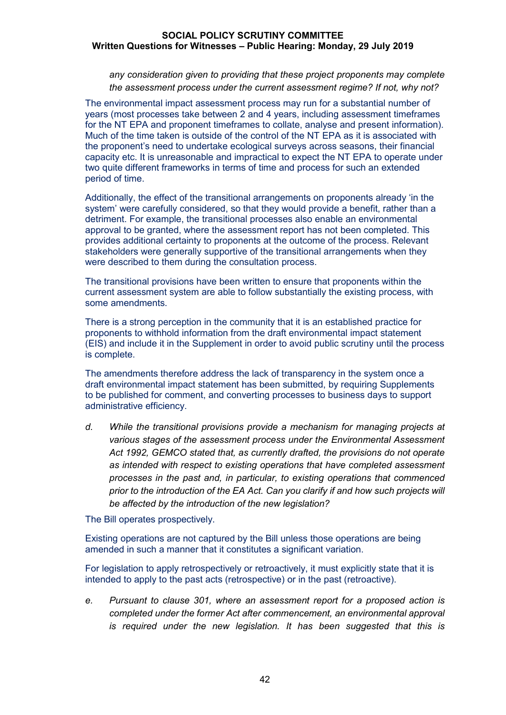*any consideration given to providing that these project proponents may complete the assessment process under the current assessment regime? If not, why not?*

The environmental impact assessment process may run for a substantial number of years (most processes take between 2 and 4 years, including assessment timeframes for the NT EPA and proponent timeframes to collate, analyse and present information). Much of the time taken is outside of the control of the NT EPA as it is associated with the proponent's need to undertake ecological surveys across seasons, their financial capacity etc. It is unreasonable and impractical to expect the NT EPA to operate under two quite different frameworks in terms of time and process for such an extended period of time.

Additionally, the effect of the transitional arrangements on proponents already 'in the system' were carefully considered, so that they would provide a benefit, rather than a detriment. For example, the transitional processes also enable an environmental approval to be granted, where the assessment report has not been completed. This provides additional certainty to proponents at the outcome of the process. Relevant stakeholders were generally supportive of the transitional arrangements when they were described to them during the consultation process.

The transitional provisions have been written to ensure that proponents within the current assessment system are able to follow substantially the existing process, with some amendments.

There is a strong perception in the community that it is an established practice for proponents to withhold information from the draft environmental impact statement (EIS) and include it in the Supplement in order to avoid public scrutiny until the process is complete.

The amendments therefore address the lack of transparency in the system once a draft environmental impact statement has been submitted, by requiring Supplements to be published for comment, and converting processes to business days to support administrative efficiency.

*d. While the transitional provisions provide a mechanism for managing projects at various stages of the assessment process under the Environmental Assessment Act 1992, GEMCO stated that, as currently drafted, the provisions do not operate as intended with respect to existing operations that have completed assessment processes in the past and, in particular, to existing operations that commenced prior to the introduction of the EA Act. Can you clarify if and how such projects will be affected by the introduction of the new legislation?*

The Bill operates prospectively.

Existing operations are not captured by the Bill unless those operations are being amended in such a manner that it constitutes a significant variation.

For legislation to apply retrospectively or retroactively, it must explicitly state that it is intended to apply to the past acts (retrospective) or in the past (retroactive).

*e. Pursuant to clause 301, where an assessment report for a proposed action is completed under the former Act after commencement, an environmental approval is required under the new legislation. It has been suggested that this is*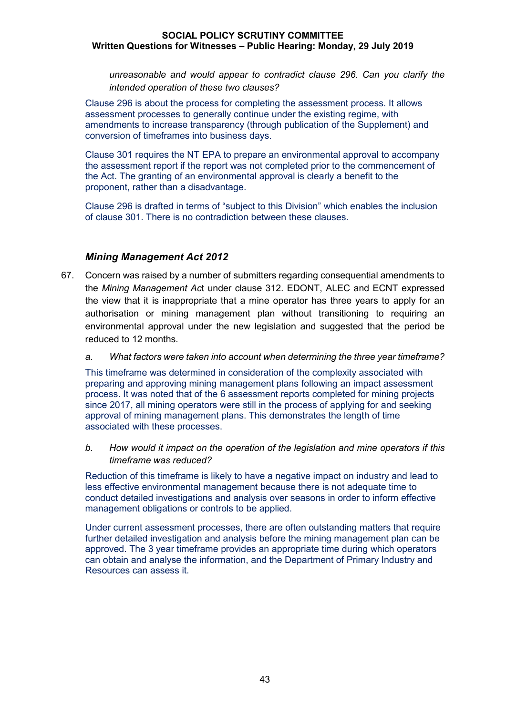*unreasonable and would appear to contradict clause 296. Can you clarify the intended operation of these two clauses?*

Clause 296 is about the process for completing the assessment process. It allows assessment processes to generally continue under the existing regime, with amendments to increase transparency (through publication of the Supplement) and conversion of timeframes into business days.

Clause 301 requires the NT EPA to prepare an environmental approval to accompany the assessment report if the report was not completed prior to the commencement of the Act. The granting of an environmental approval is clearly a benefit to the proponent, rather than a disadvantage.

Clause 296 is drafted in terms of "subject to this Division" which enables the inclusion of clause 301. There is no contradiction between these clauses.

## *Mining Management Act 2012*

- 67. Concern was raised by a number of submitters regarding consequential amendments to the *Mining Management Ac*t under clause 312. EDONT, ALEC and ECNT expressed the view that it is inappropriate that a mine operator has three years to apply for an authorisation or mining management plan without transitioning to requiring an environmental approval under the new legislation and suggested that the period be reduced to 12 months.
	- *a. What factors were taken into account when determining the three year timeframe?*

This timeframe was determined in consideration of the complexity associated with preparing and approving mining management plans following an impact assessment process. It was noted that of the 6 assessment reports completed for mining projects since 2017, all mining operators were still in the process of applying for and seeking approval of mining management plans. This demonstrates the length of time associated with these processes.

*b. How would it impact on the operation of the legislation and mine operators if this timeframe was reduced?*

Reduction of this timeframe is likely to have a negative impact on industry and lead to less effective environmental management because there is not adequate time to conduct detailed investigations and analysis over seasons in order to inform effective management obligations or controls to be applied.

Under current assessment processes, there are often outstanding matters that require further detailed investigation and analysis before the mining management plan can be approved. The 3 year timeframe provides an appropriate time during which operators can obtain and analyse the information, and the Department of Primary Industry and Resources can assess it.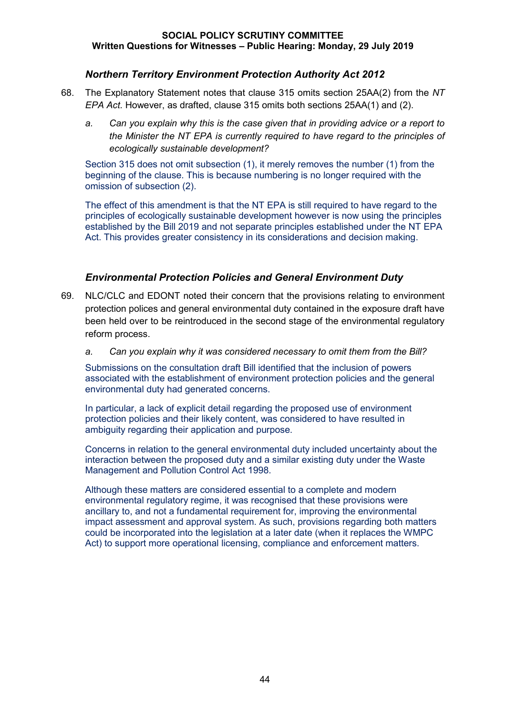## *Northern Territory Environment Protection Authority Act 2012*

- 68. The Explanatory Statement notes that clause 315 omits section 25AA(2) from the *NT EPA Act.* However, as drafted, clause 315 omits both sections 25AA(1) and (2).
	- *a. Can you explain why this is the case given that in providing advice or a report to the Minister the NT EPA is currently required to have regard to the principles of ecologically sustainable development?*

Section 315 does not omit subsection (1), it merely removes the number (1) from the beginning of the clause. This is because numbering is no longer required with the omission of subsection (2).

The effect of this amendment is that the NT EPA is still required to have regard to the principles of ecologically sustainable development however is now using the principles established by the Bill 2019 and not separate principles established under the NT EPA Act. This provides greater consistency in its considerations and decision making.

## *Environmental Protection Policies and General Environment Duty*

- 69. NLC/CLC and EDONT noted their concern that the provisions relating to environment protection polices and general environmental duty contained in the exposure draft have been held over to be reintroduced in the second stage of the environmental regulatory reform process.
	- *a. Can you explain why it was considered necessary to omit them from the Bill?*

Submissions on the consultation draft Bill identified that the inclusion of powers associated with the establishment of environment protection policies and the general environmental duty had generated concerns.

In particular, a lack of explicit detail regarding the proposed use of environment protection policies and their likely content, was considered to have resulted in ambiguity regarding their application and purpose.

Concerns in relation to the general environmental duty included uncertainty about the interaction between the proposed duty and a similar existing duty under the Waste Management and Pollution Control Act 1998.

Although these matters are considered essential to a complete and modern environmental regulatory regime, it was recognised that these provisions were ancillary to, and not a fundamental requirement for, improving the environmental impact assessment and approval system. As such, provisions regarding both matters could be incorporated into the legislation at a later date (when it replaces the WMPC Act) to support more operational licensing, compliance and enforcement matters.